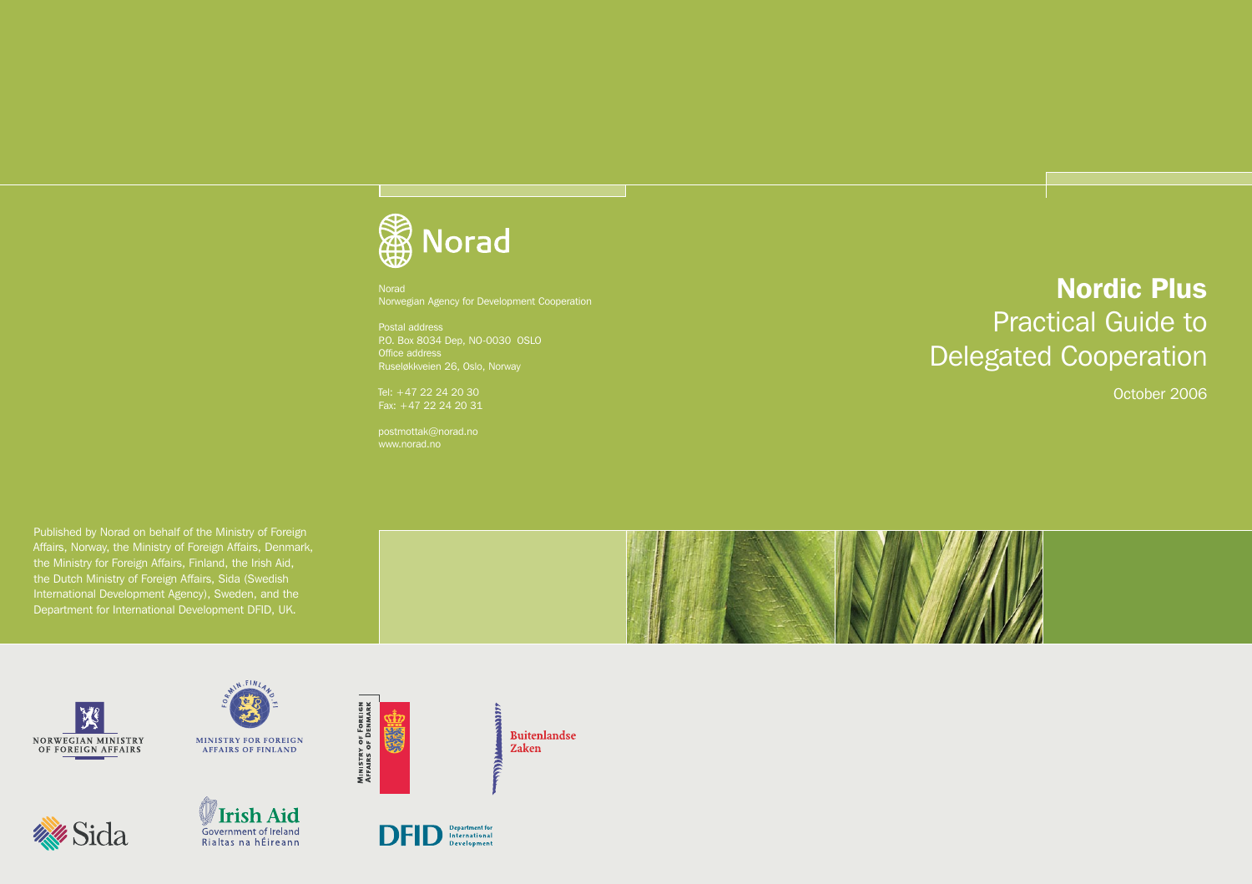# **Norad**

Norad Norwegian Agency for Development Cooperation

Postal address P.O. Box 8034 Dep, NO-0030 OSLO

Tel: +47 22 24 20 30 Fax: +47 22 24 20 31

postmottak@norad.no www.norad.no

Nordic Plus Practical Guide to Delegated Cooperation

October 2006

Published by Norad on behalf of the Ministry of Foreign Affairs, Norway, the Ministry of Foreign Affairs, Denmark, the Ministry for Foreign Affairs, Finland, the Irish Aid, the Dutch Ministry of Foreign Affairs, Sida (Swedish International Development Agency), Sweden, and the Department for International Development DFID, UK.







MINISTRY OF FOREIGN<br>Affairs of Denmark

Conic







anny

**Buitenlandse** 

Zaken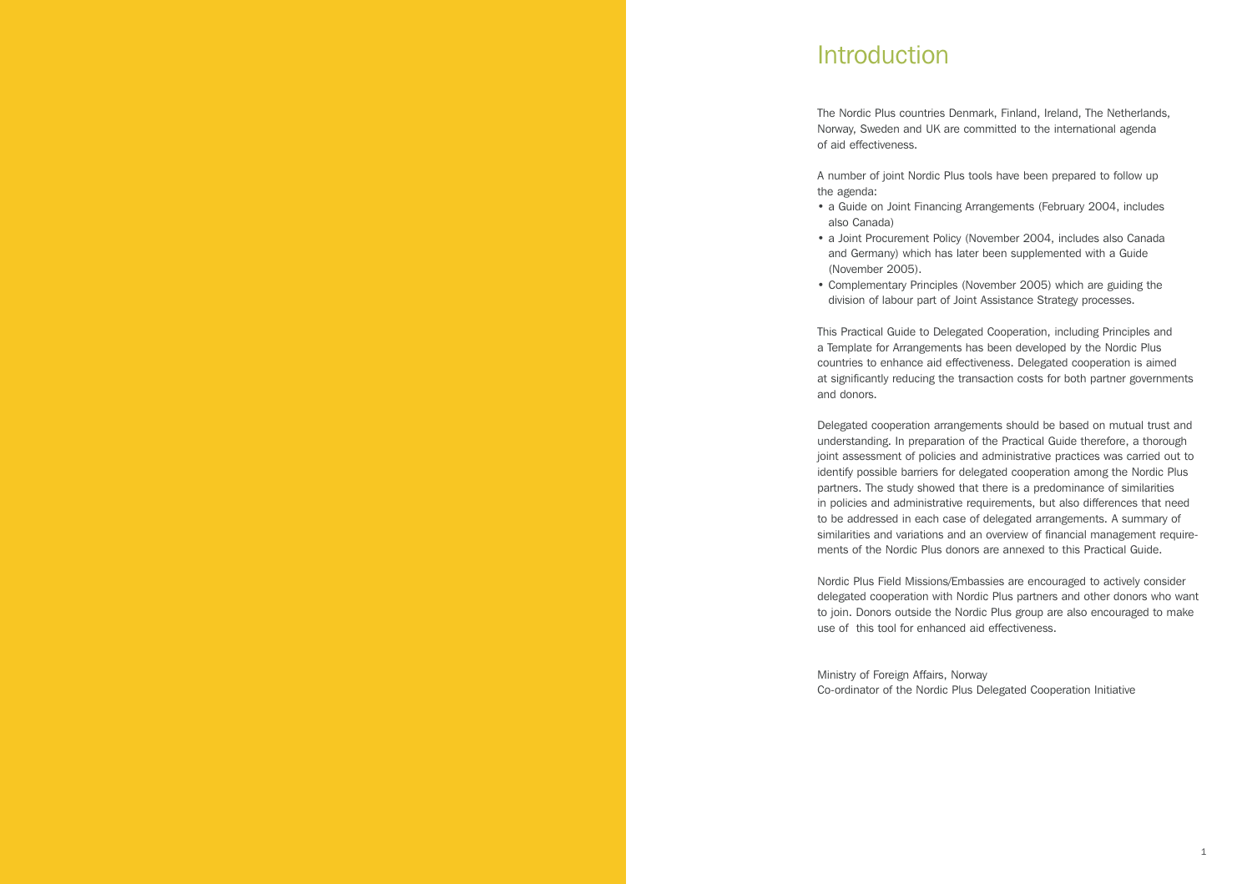# **Introduction**

The Nordic Plus countries Denmark, Finland, Ireland, The Netherlands, Norway, Sweden and UK are committed to the international agenda of aid effectiveness.

A number of joint Nordic Plus tools have been prepared to follow up the agenda:

- a Guide on Joint Financing Arrangements (February 2004, includes also Canada)
- a Joint Procurement Policy (November 2004, includes also Canada and Germany) which has later been supplemented with a Guide (November 2005).
- Complementary Principles (November 2005) which are guiding the division of labour part of Joint Assistance Strategy processes.

This Practical Guide to Delegated Cooperation, including Principles and a Template for Arrangements has been developed by the Nordic Plus countries to enhance aid effectiveness. Delegated cooperation is aimed at significantly reducing the transaction costs for both partner governments and donors.

Delegated cooperation arrangements should be based on mutual trust and understanding. In preparation of the Practical Guide therefore, a thorough joint assessment of policies and administrative practices was carried out to identify possible barriers for delegated cooperation among the Nordic Plus partners. The study showed that there is a predominance of similarities in policies and administrative requirements, but also differences that need to be addressed in each case of delegated arrangements. A summary of similarities and variations and an overview of financial management requirements of the Nordic Plus donors are annexed to this Practical Guide.

Nordic Plus Field Missions/Embassies are encouraged to actively consider delegated cooperation with Nordic Plus partners and other donors who want to join. Donors outside the Nordic Plus group are also encouraged to make use of this tool for enhanced aid effectiveness.

Ministry of Foreign Affairs, Norway Co-ordinator of the Nordic Plus Delegated Cooperation Initiative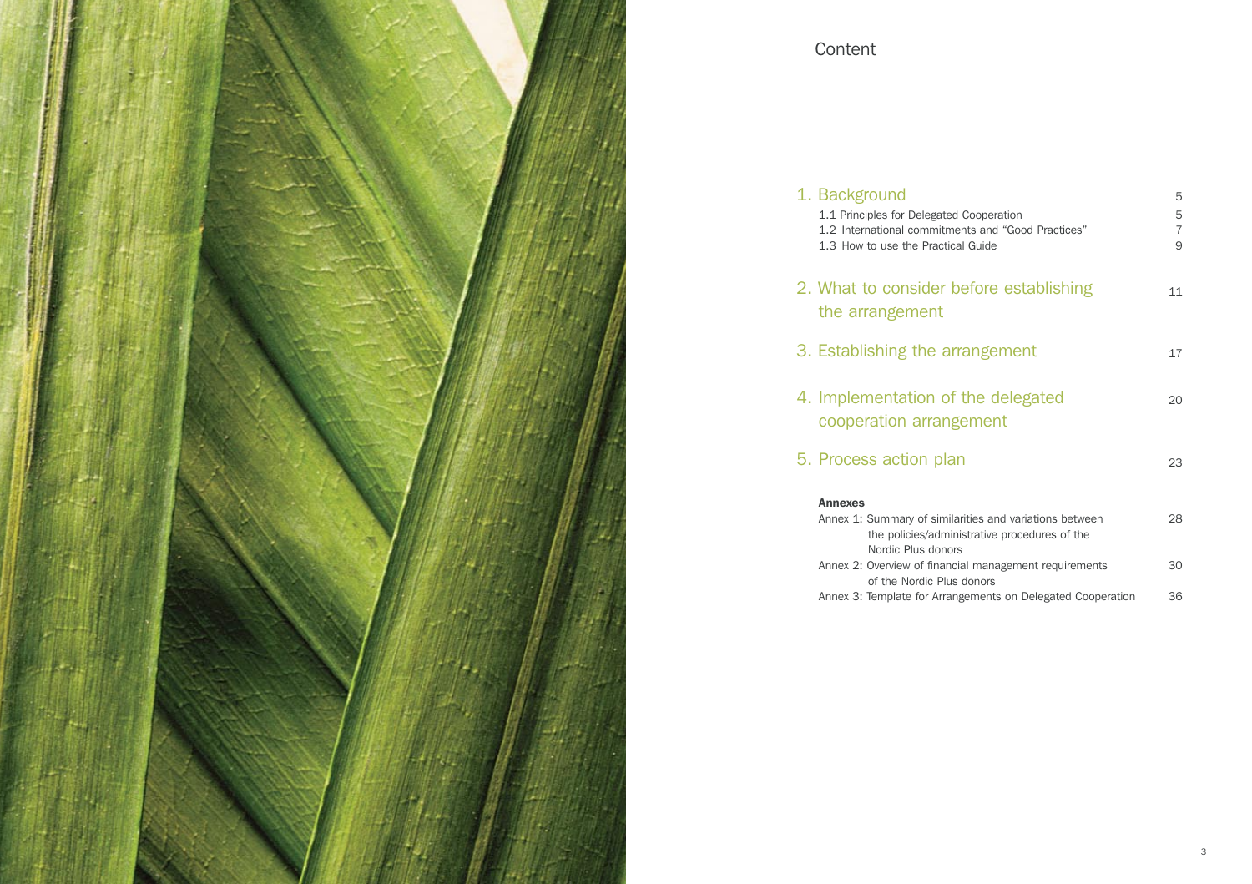

# Content

| 1. Background                                                                                  | 5                   |
|------------------------------------------------------------------------------------------------|---------------------|
| 1.1 Principles for Delegated Cooperation<br>1.2 International commitments and "Good Practices" | 5<br>$\overline{7}$ |
| 1.3 How to use the Practical Guide                                                             | 9                   |
| 2. What to consider before establishing                                                        | 11                  |
| the arrangement                                                                                |                     |
| 3. Establishing the arrangement                                                                | 17                  |
|                                                                                                |                     |
| 4. Implementation of the delegated                                                             | 20                  |
| cooperation arrangement                                                                        |                     |
| 5. Process action plan                                                                         | 23                  |
| <b>Annexes</b>                                                                                 |                     |
| Annex 1: Summary of similarities and variations between                                        | 28                  |
| the policies/administrative procedures of the<br>Nordic Plus donors                            |                     |
| Annex 2: Overview of financial management requirements                                         | 30                  |
| of the Nordic Plus donors                                                                      |                     |
| Annex 3: Template for Arrangements on Delegated Cooperation                                    | 36                  |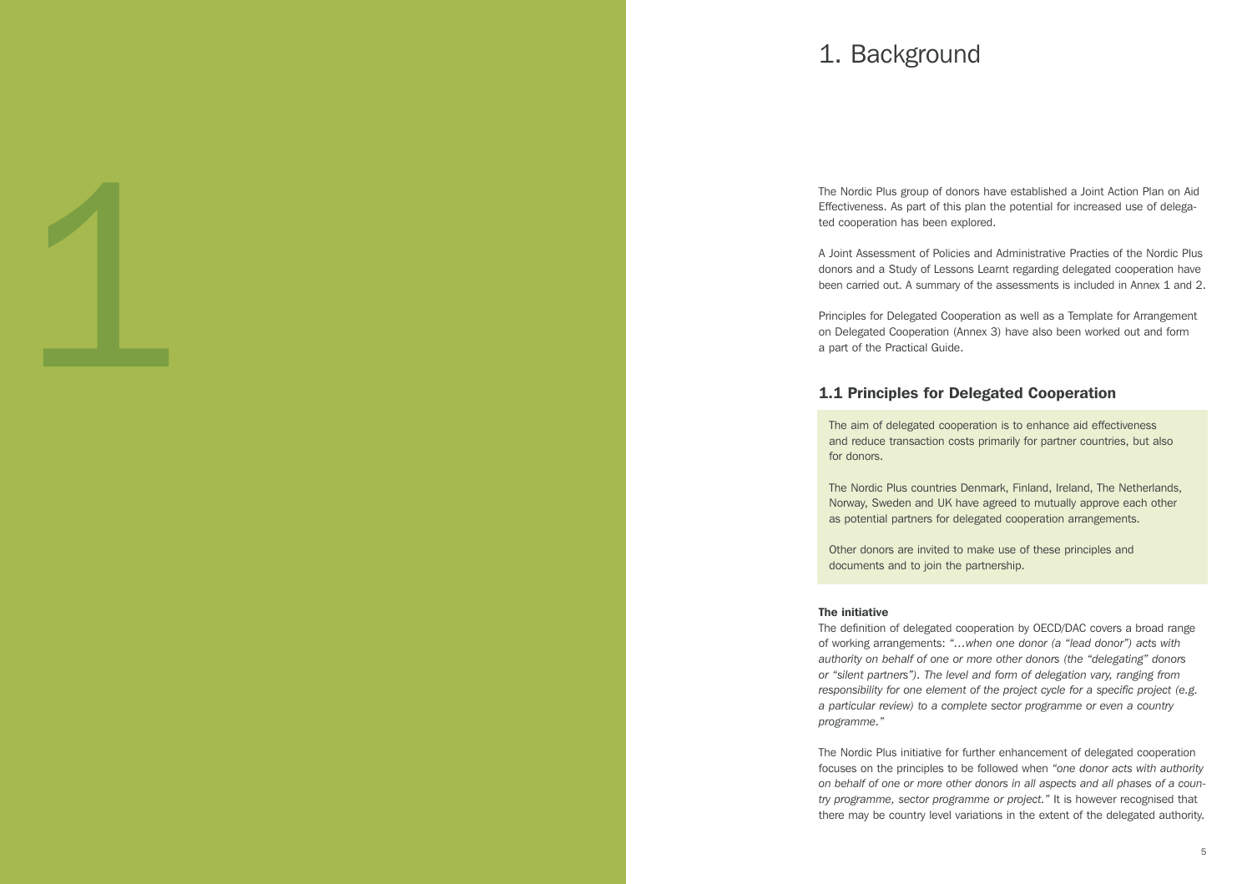# 1. Background

The Nordic Plus group of donors have established a Joint Action Plan on Aid Effectiveness. As part of this plan the potential for increased use of delega ted cooperation has been explored.

A Joint Assessment of Policies and Administrative Practies of the Nordic Plus donors and a Study of Lessons Learnt regarding delegated cooperation have been carried out. A summary of the assessments is included in Annex 1 and 2.

Principles for Delegated Cooperation as well as a Template for Arrangement on Delegated Cooperation (Annex 3) have also been worked out and form a part of the Practical Guide.

# 1.1 Principles for Delegated Cooperation

The aim of delegated cooperation is to enhance aid effectiveness and reduce transaction costs primarily for partner countries, but also for donors.

The Nordic Plus countries Denmark, Finland, Ireland, The Netherlands, Norway, Sweden and UK have agreed to mutually approve each other as potential partners for delegated cooperation arrangements.

Other donors are invited to make use of these principles and documents and to join the partnership.

#### The initiative

1

The definition of delegated cooperation by OECD/DAC covers a broad range of working arrangements: *"…when one donor (a "lead donor") acts with authority on behalf of one or more other donors (the "delegating" donors or "silent partners"). The level and form of delegation vary, ranging from responsibility for one element of the project cycle for a specific project (e.g. a particular review) to a complete sector programme or even a country programme."*

The Nordic Plus initiative for further enhancement of delegated cooperation focuses on the principles to be followed when *"one donor acts with authority on behalf of one or more other donors in all aspects and all phases of a coun try programme, sector programme or project."* It is however recognised that there may be country level variations in the extent of the delegated authority.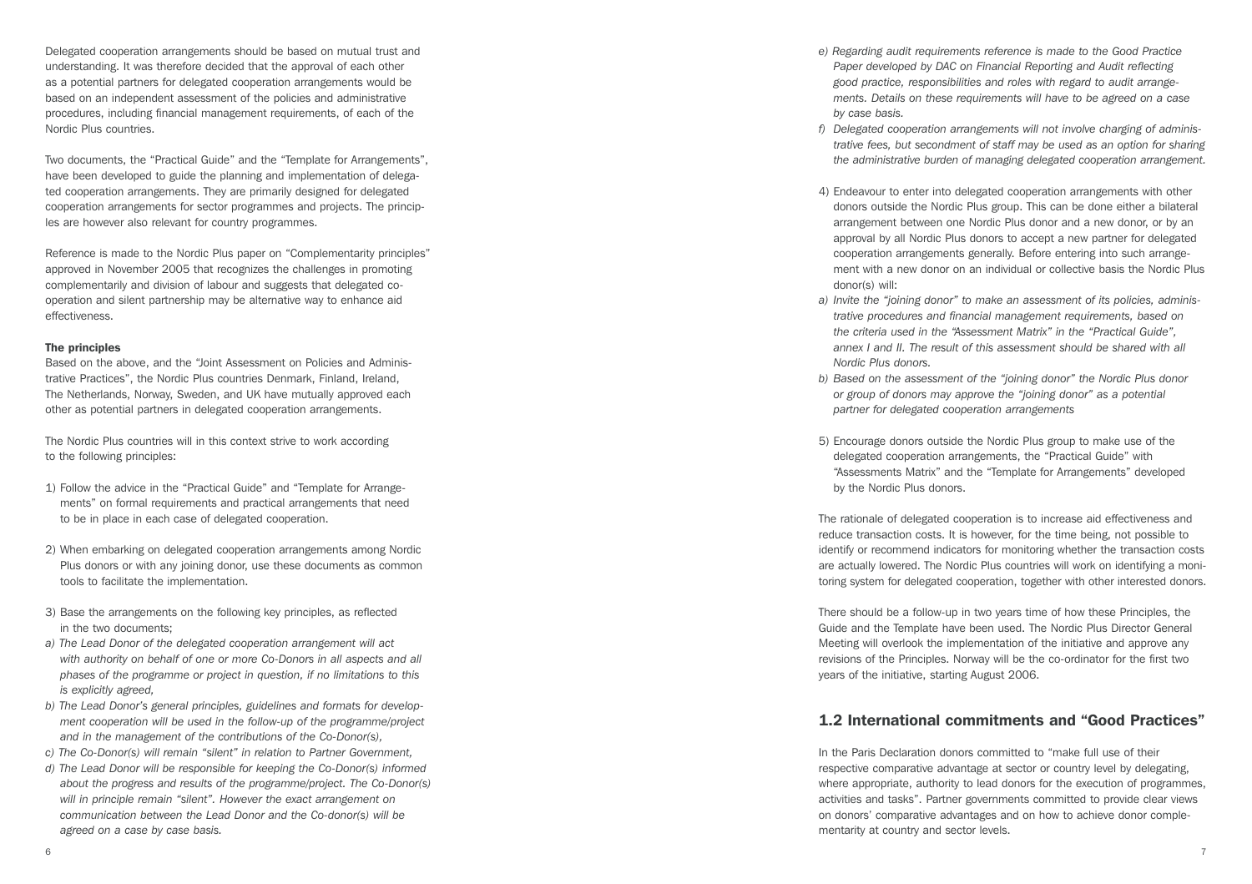Delegated cooperation arrangements should be based on mutual trust and understanding. It was therefore decided that the approval of each other as a potential partners for delegated cooperation arrangements would be based on an independent assessment of the policies and administrative procedures, including financial management requirements, of each of the Nordic Plus countries.

Two documents, the "Practical Guide" and the "Template for Arrangements", have been developed to guide the planning and implementation of delegated cooperation arrangements. They are primarily designed for delegated cooperation arrangements for sector programmes and projects. The principles are however also relevant for country programmes.

Reference is made to the Nordic Plus paper on "Complementarity principles" approved in November 2005 that recognizes the challenges in promoting complementarily and division of labour and suggests that delegated cooperation and silent partnership may be alternative way to enhance aid effectiveness.

#### The principles

Based on the above, and the "Joint Assessment on Policies and Administrative Practices", the Nordic Plus countries Denmark, Finland, Ireland, The Netherlands, Norway, Sweden, and UK have mutually approved each other as potential partners in delegated cooperation arrangements.

The Nordic Plus countries will in this context strive to work according to the following principles:

- 1) Follow the advice in the "Practical Guide" and "Template for Arrangements" on formal requirements and practical arrangements that need to be in place in each case of delegated cooperation.
- 2) When embarking on delegated cooperation arrangements among Nordic Plus donors or with any joining donor, use these documents as common tools to facilitate the implementation.
- 3) Base the arrangements on the following key principles, as reflected in the two documents;
- *a) The Lead Donor of the delegated cooperation arrangement will act*  with authority on behalf of one or more Co-Donors in all aspects and all *phases of the programme or project in question, if no limitations to this is explicitly agreed,*
- *b) The Lead Donor's general principles, guidelines and formats for development cooperation will be used in the follow-up of the programme/project and in the management of the contributions of the Co-Donor(s),*
- *c) The Co-Donor(s) will remain "silent" in relation to Partner Government,*
- *d) The Lead Donor will be responsible for keeping the Co-Donor(s) informed about the progress and results of the programme/project. The Co-Donor(s) will in principle remain "silent". However the exact arrangement on communication between the Lead Donor and the Co-donor(s) will be agreed on a case by case basis.*
- *e) Regarding audit requirements reference is made to the Good Practice Paper developed by DAC on Financial Reporting and Audit reflecting good practice, responsibilities and roles with regard to audit arrangements. Details on these requirements will have to be agreed on a case by case basis.*
- *f) Delegated cooperation arrangements will not involve charging of administrative fees, but secondment of staff may be used as an option for sharing the administrative burden of managing delegated cooperation arrangement.*
- 4) Endeavour to enter into delegated cooperation arrangements with other donors outside the Nordic Plus group. This can be done either a bilateral arrangement between one Nordic Plus donor and a new donor, or by an approval by all Nordic Plus donors to accept a new partner for delegated cooperation arrangements generally. Before entering into such arrangement with a new donor on an individual or collective basis the Nordic Plus donor(s) will:
- *a) Invite the "joining donor" to make an assessment of its policies, administrative procedures and financial management requirements, based on the criteria used in the "Assessment Matrix" in the "Practical Guide",*  annex I and II. The result of this assessment should be shared with all *Nordic Plus donors.*
- *b) Based on the assessment of the "joining donor" the Nordic Plus donor or group of donors may approve the "joining donor" as a potential partner for delegated cooperation arrangements*
- 5) Encourage donors outside the Nordic Plus group to make use of the delegated cooperation arrangements, the "Practical Guide" with "Assessments Matrix" and the "Template for Arrangements" developed by the Nordic Plus donors.

The rationale of delegated cooperation is to increase aid effectiveness and reduce transaction costs. It is however, for the time being, not possible to identify or recommend indicators for monitoring whether the transaction costs are actually lowered. The Nordic Plus countries will work on identifying a monitoring system for delegated cooperation, together with other interested donors.

There should be a follow-up in two years time of how these Principles, the Guide and the Template have been used. The Nordic Plus Director General Meeting will overlook the implementation of the initiative and approve any revisions of the Principles. Norway will be the co-ordinator for the first two years of the initiative, starting August 2006.

# 1.2 International commitments and "Good Practices"

In the Paris Declaration donors committed to "make full use of their respective comparative advantage at sector or country level by delegating, where appropriate, authority to lead donors for the execution of programmes, activities and tasks". Partner governments committed to provide clear views on donors' comparative advantages and on how to achieve donor complementarity at country and sector levels.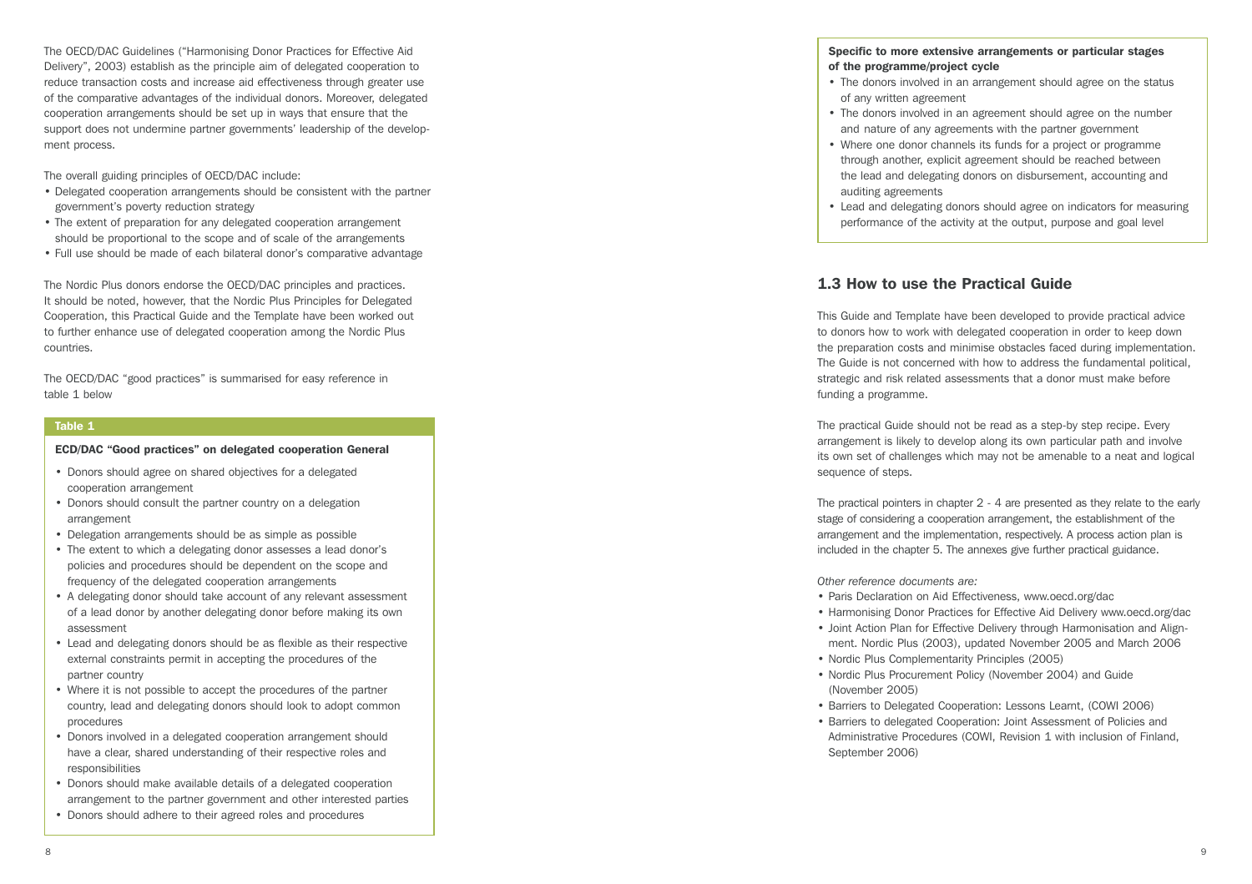The OECD/DAC Guidelines ("Harmonising Donor Practices for Effective Aid Delivery", 2003) establish as the principle aim of delegated cooperation to reduce transaction costs and increase aid effectiveness through greater use of the comparative advantages of the individual donors. Moreover, delegated cooperation arrangements should be set up in ways that ensure that the support does not undermine partner governments' leadership of the development process.

The overall guiding principles of OECD/DAC include:

- Delegated cooperation arrangements should be consistent with the partner government's poverty reduction strategy
- The extent of preparation for any delegated cooperation arrangement should be proportional to the scope and of scale of the arrangements
- Full use should be made of each bilateral donor's comparative advantage

The Nordic Plus donors endorse the OECD/DAC principles and practices. It should be noted, however, that the Nordic Plus Principles for Delegated Cooperation, this Practical Guide and the Template have been worked out to further enhance use of delegated cooperation among the Nordic Plus countries.

The OECD/DAC "good practices" is summarised for easy reference in table 1 below

#### Table 1

#### ECD/DAC "Good practices" on delegated cooperation General

- Donors should agree on shared objectives for a delegated cooperation arrangement
- Donors should consult the partner country on a delegation arrangement
- Delegation arrangements should be as simple as possible
- The extent to which a delegating donor assesses a lead donor's policies and procedures should be dependent on the scope and frequency of the delegated cooperation arrangements
- A delegating donor should take account of any relevant assessment of a lead donor by another delegating donor before making its own assessment
- Lead and delegating donors should be as flexible as their respective external constraints permit in accepting the procedures of the partner country
- Where it is not possible to accept the procedures of the partner country, lead and delegating donors should look to adopt common procedures
- Donors involved in a delegated cooperation arrangement should have a clear, shared understanding of their respective roles and responsibilities
- Donors should make available details of a delegated cooperation arrangement to the partner government and other interested parties
- Donors should adhere to their agreed roles and procedures

### Specific to more extensive arrangements or particular stages of the programme/project cycle

- The donors involved in an arrangement should agree on the status of any written agreement
- The donors involved in an agreement should agree on the number and nature of any agreements with the partner government
- Where one donor channels its funds for a project or programme through another, explicit agreement should be reached between the lead and delegating donors on disbursement, accounting and auditing agreements
- Lead and delegating donors should agree on indicators for measuring performance of the activity at the output, purpose and goal level

# 1.3 How to use the Practical Guide

This Guide and Template have been developed to provide practical advice to donors how to work with delegated cooperation in order to keep down the preparation costs and minimise obstacles faced during implementation. The Guide is not concerned with how to address the fundamental political, strategic and risk related assessments that a donor must make before funding a programme.

The practical Guide should not be read as a step-by step recipe. Every arrangement is likely to develop along its own particular path and involve its own set of challenges which may not be amenable to a neat and logical sequence of steps.

The practical pointers in chapter 2 - 4 are presented as they relate to the early stage of considering a cooperation arrangement, the establishment of the arrangement and the implementation, respectively. A process action plan is included in the chapter 5. The annexes give further practical guidance.

*Other reference documents are:*

- Paris Declaration on Aid Effectiveness, www.oecd.org/dac
- Harmonising Donor Practices for Effective Aid Delivery www.oecd.org/dac
- Joint Action Plan for Effective Delivery through Harmonisation and Alignment. Nordic Plus (2003), updated November 2005 and March 2006
- Nordic Plus Complementarity Principles (2005)
- Nordic Plus Procurement Policy (November 2004) and Guide (November 2005)
- Barriers to Delegated Cooperation: Lessons Learnt, (COWI 2006)
- Barriers to delegated Cooperation: Joint Assessment of Policies and Administrative Procedures (COWI, Revision 1 with inclusion of Finland, September 2006)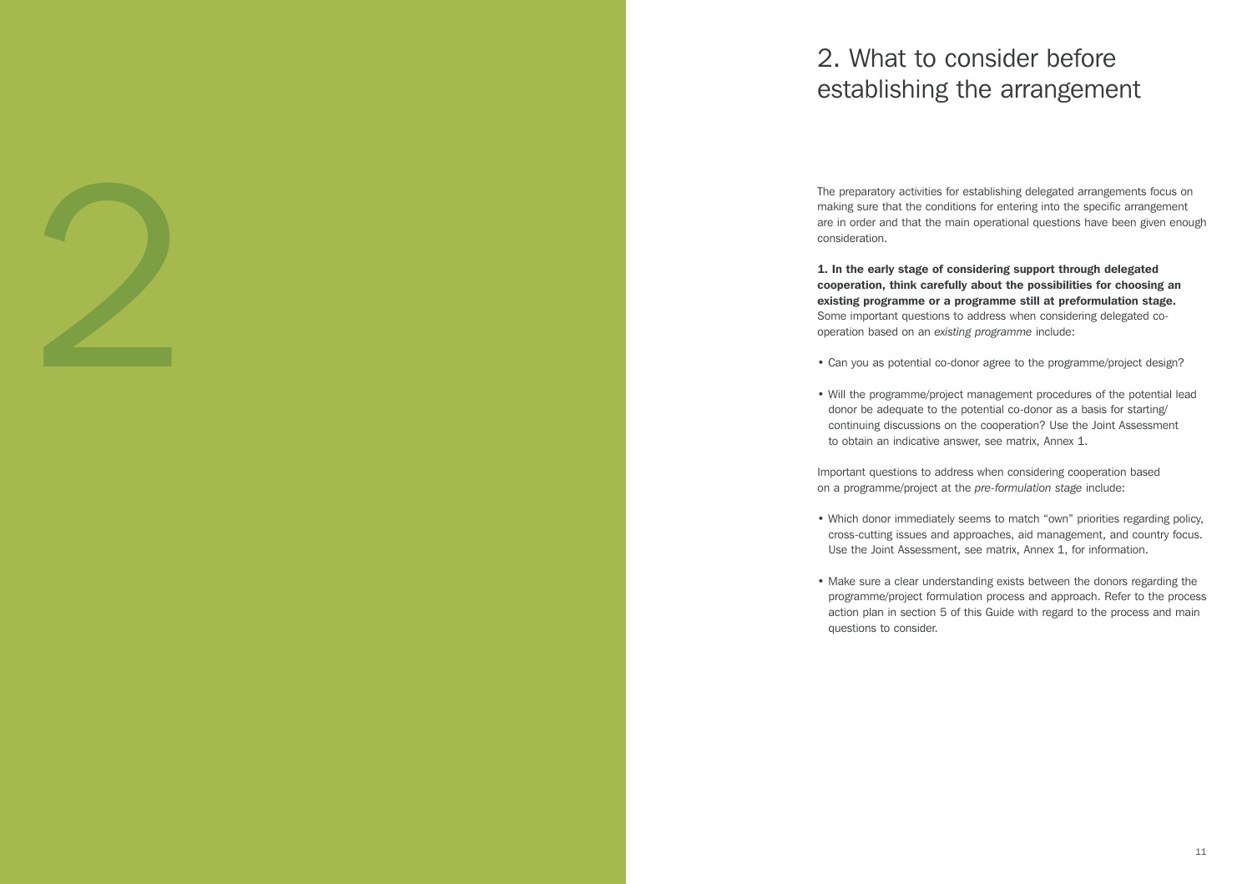# 2. What to consider before establishing the arrangement

The preparatory activities for establishing delegated arrangements focus on making sure that the conditions for entering into the specific arrangement are in order and that the main operational questions have been given enough consideration.

1. In the early stage of considering support through delegated cooperation, think carefully about the possibilities for choosing an existing programme or a programme still at preformulation stage. Some important questions to address when considering delegated cooperation based on an *existing programme* include:

2

- Can you as potential co-donor agree to the programme/project design?
- Will the programme/project management procedures of the potential lead donor be adequate to the potential co-donor as a basis for starting/ continuing discussions on the cooperation? Use the Joint Assessment to obtain an indicative answer, see matrix, Annex 1.

Important questions to address when considering cooperation based on a programme/project at the *pre-formulation stage* include:

- Which donor immediately seems to match "own" priorities regarding policy, cross-cutting issues and approaches, aid management, and country focus. Use the Joint Assessment, see matrix, Annex 1, for information.
- Make sure a clear understanding exists between the donors regarding the programme/project formulation process and approach. Refer to the process action plan in section 5 of this Guide with regard to the process and main questions to consider.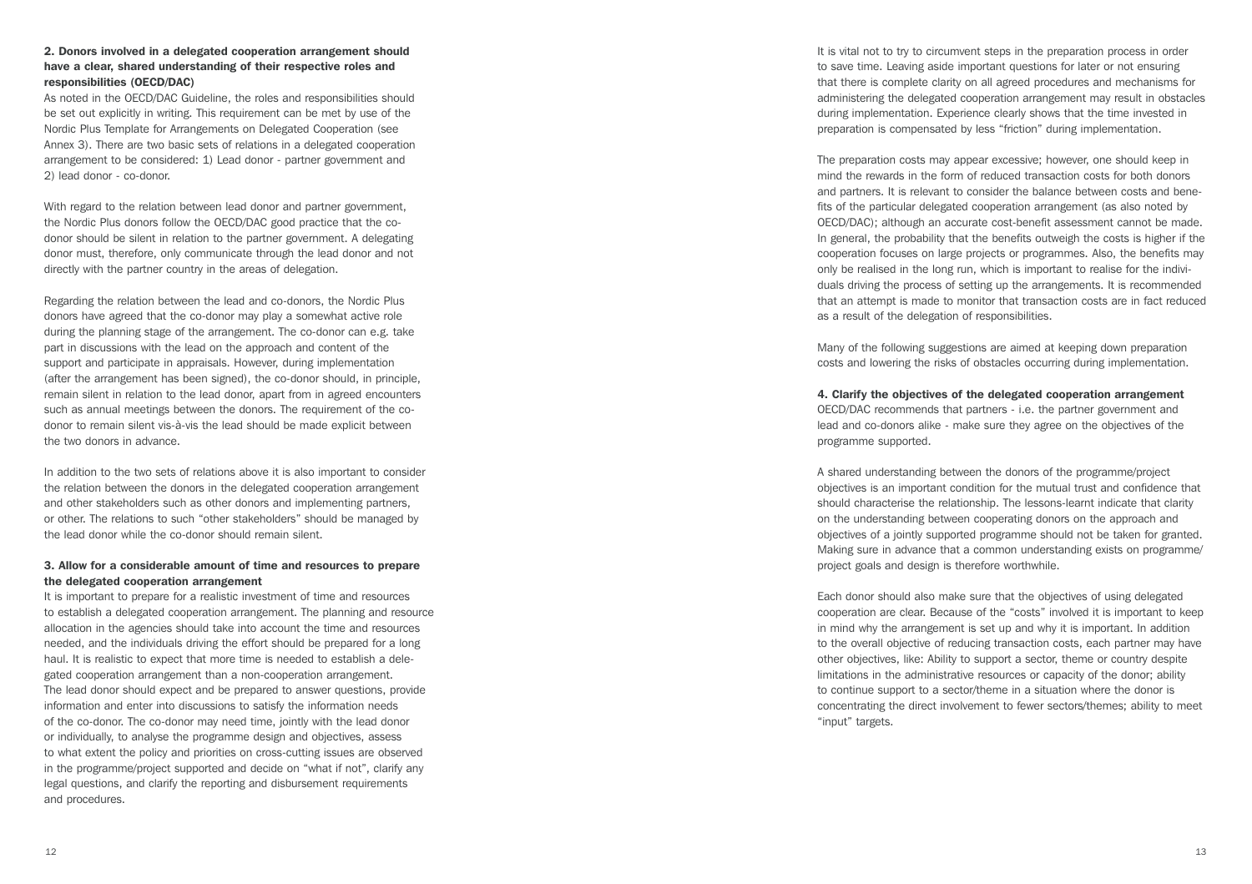#### 2. Donors involved in a delegated cooperation arrangement should have a clear, shared understanding of their respective roles and responsibilities (OECD/DAC)

As noted in the OECD/DAC Guideline, the roles and responsibilities should be set out explicitly in writing. This requirement can be met by use of the Nordic Plus Template for Arrangements on Delegated Cooperation (see Annex 3). There are two basic sets of relations in a delegated cooperation arrangement to be considered: 1) Lead donor - partner government and 2) lead donor - co-donor.

With regard to the relation between lead donor and partner government. the Nordic Plus donors follow the OECD/DAC good practice that the codonor should be silent in relation to the partner government. A delegating donor must, therefore, only communicate through the lead donor and not directly with the partner country in the areas of delegation.

Regarding the relation between the lead and co-donors, the Nordic Plus donors have agreed that the co-donor may play a somewhat active role during the planning stage of the arrangement. The co-donor can e.g. take part in discussions with the lead on the approach and content of the support and participate in appraisals. However, during implementation (after the arrangement has been signed), the co-donor should, in principle, remain silent in relation to the lead donor, apart from in agreed encounters such as annual meetings between the donors. The requirement of the codonor to remain silent vis-à-vis the lead should be made explicit between the two donors in advance.

In addition to the two sets of relations above it is also important to consider the relation between the donors in the delegated cooperation arrangement and other stakeholders such as other donors and implementing partners, or other. The relations to such "other stakeholders" should be managed by the lead donor while the co-donor should remain silent.

#### 3. Allow for a considerable amount of time and resources to prepare the delegated cooperation arrangement

It is important to prepare for a realistic investment of time and resources to establish a delegated cooperation arrangement. The planning and resource allocation in the agencies should take into account the time and resources needed, and the individuals driving the effort should be prepared for a long haul. It is realistic to expect that more time is needed to establish a delegated cooperation arrangement than a non-cooperation arrangement. The lead donor should expect and be prepared to answer questions, provide information and enter into discussions to satisfy the information needs of the co-donor. The co-donor may need time, jointly with the lead donor or individually, to analyse the programme design and objectives, assess to what extent the policy and priorities on cross-cutting issues are observed in the programme/project supported and decide on "what if not", clarify any legal questions, and clarify the reporting and disbursement requirements and procedures.

It is vital not to try to circumvent steps in the preparation process in order to save time. Leaving aside important questions for later or not ensuring that there is complete clarity on all agreed procedures and mechanisms for administering the delegated cooperation arrangement may result in obstacles during implementation. Experience clearly shows that the time invested in preparation is compensated by less "friction" during implementation.

The preparation costs may appear excessive; however, one should keep in mind the rewards in the form of reduced transaction costs for both donors and partners. It is relevant to consider the balance between costs and benefits of the particular delegated cooperation arrangement (as also noted by OECD/DAC); although an accurate cost-benefit assessment cannot be made. In general, the probability that the benefits outweigh the costs is higher if the cooperation focuses on large projects or programmes. Also, the benefits may only be realised in the long run, which is important to realise for the individuals driving the process of setting up the arrangements. It is recommended that an attempt is made to monitor that transaction costs are in fact reduced as a result of the delegation of responsibilities.

Many of the following suggestions are aimed at keeping down preparation costs and lowering the risks of obstacles occurring during implementation.

#### 4. Clarify the objectives of the delegated cooperation arrangement

OECD/DAC recommends that partners - i.e. the partner government and lead and co-donors alike - make sure they agree on the objectives of the programme supported.

A shared understanding between the donors of the programme/project objectives is an important condition for the mutual trust and confidence that should characterise the relationship. The lessons-learnt indicate that clarity on the understanding between cooperating donors on the approach and objectives of a jointly supported programme should not be taken for granted. Making sure in advance that a common understanding exists on programme/ project goals and design is therefore worthwhile.

Each donor should also make sure that the objectives of using delegated cooperation are clear. Because of the "costs" involved it is important to keep in mind why the arrangement is set up and why it is important. In addition to the overall objective of reducing transaction costs, each partner may have other objectives, like: Ability to support a sector, theme or country despite limitations in the administrative resources or capacity of the donor; ability to continue support to a sector/theme in a situation where the donor is concentrating the direct involvement to fewer sectors/themes; ability to meet "input" targets.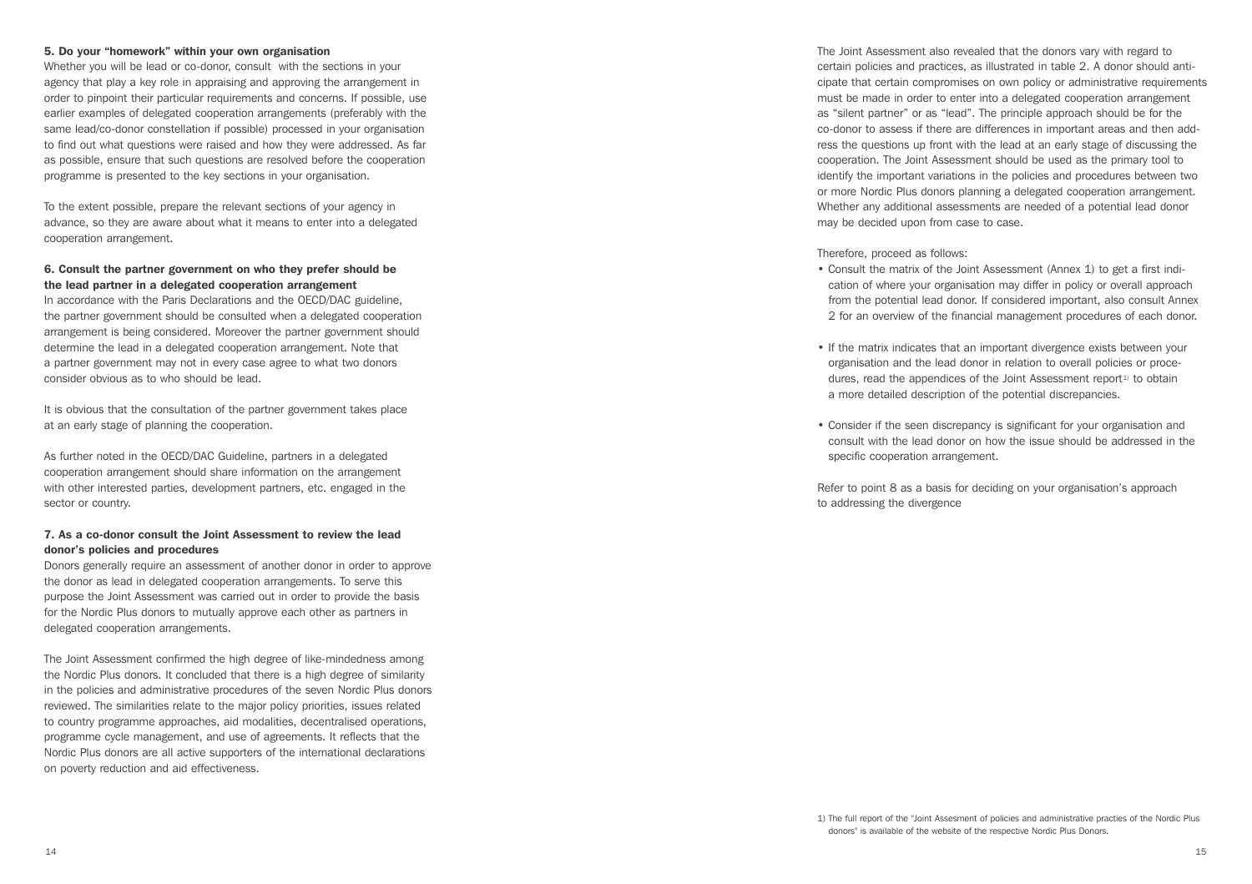#### 5. Do your "homework" within your own organisation

Whether you will be lead or co-donor, consult with the sections in your agency that play a key role in appraising and approving the arrangement in order to pinpoint their particular requirements and concerns. If possible, use earlier examples of delegated cooperation arrangements (preferably with the same lead/co-donor constellation if possible) processed in your organisation to find out what questions were raised and how they were addressed. As far as possible, ensure that such questions are resolved before the cooperation programme is presented to the key sections in your organisation.

To the extent possible, prepare the relevant sections of your agency in advance, so they are aware about what it means to enter into a delegated cooperation arrangement.

#### 6. Consult the partner government on who they prefer should be the lead partner in a delegated cooperation arrangement

In accordance with the Paris Declarations and the OECD/DAC guideline, the partner government should be consulted when a delegated cooperation arrangement is being considered. Moreover the partner government should determine the lead in a delegated cooperation arrangement. Note that a partner government may not in every case agree to what two donors consider obvious as to who should be lead.

It is obvious that the consultation of the partner government takes place at an early stage of planning the cooperation.

As further noted in the OECD/DAC Guideline, partners in a delegated cooperation arrangement should share information on the arrangement with other interested parties, development partners, etc. engaged in the sector or country.

#### 7. As a co-donor consult the Joint Assessment to review the lead donor's policies and procedures

Donors generally require an assessment of another donor in order to approve the donor as lead in delegated cooperation arrangements. To serve this purpose the Joint Assessment was carried out in order to provide the basis for the Nordic Plus donors to mutually approve each other as partners in delegated cooperation arrangements.

The Joint Assessment confirmed the high degree of like-mindedness among the Nordic Plus donors. It concluded that there is a high degree of similarity in the policies and administrative procedures of the seven Nordic Plus donors reviewed. The similarities relate to the major policy priorities, issues related to country programme approaches, aid modalities, decentralised operations, programme cycle management, and use of agreements. It reflects that the Nordic Plus donors are all active supporters of the international declarations on poverty reduction and aid effectiveness.

The Joint Assessment also revealed that the donors vary with regard to certain policies and practices, as illustrated in table 2. A donor should anticipate that certain compromises on own policy or administrative requirements must be made in order to enter into a delegated cooperation arrangement as "silent partner" or as "lead". The principle approach should be for the co-donor to assess if there are differences in important areas and then address the questions up front with the lead at an early stage of discussing the cooperation. The Joint Assessment should be used as the primary tool to identify the important variations in the policies and procedures between two or more Nordic Plus donors planning a delegated cooperation arrangement. Whether any additional assessments are needed of a potential lead donor may be decided upon from case to case.

Therefore, proceed as follows:

- Consult the matrix of the Joint Assessment (Annex 1) to get a first indication of where your organisation may differ in policy or overall approach from the potential lead donor. If considered important, also consult Annex 2 for an overview of the financial management procedures of each donor.
- If the matrix indicates that an important divergence exists between your organisation and the lead donor in relation to overall policies or procedures, read the appendices of the Joint Assessment report<sup>1)</sup> to obtain a more detailed description of the potential discrepancies.
- Consider if the seen discrepancy is significant for your organisation and consult with the lead donor on how the issue should be addressed in the specific cooperation arrangement.

Refer to point 8 as a basis for deciding on your organisation's approach to addressing the divergence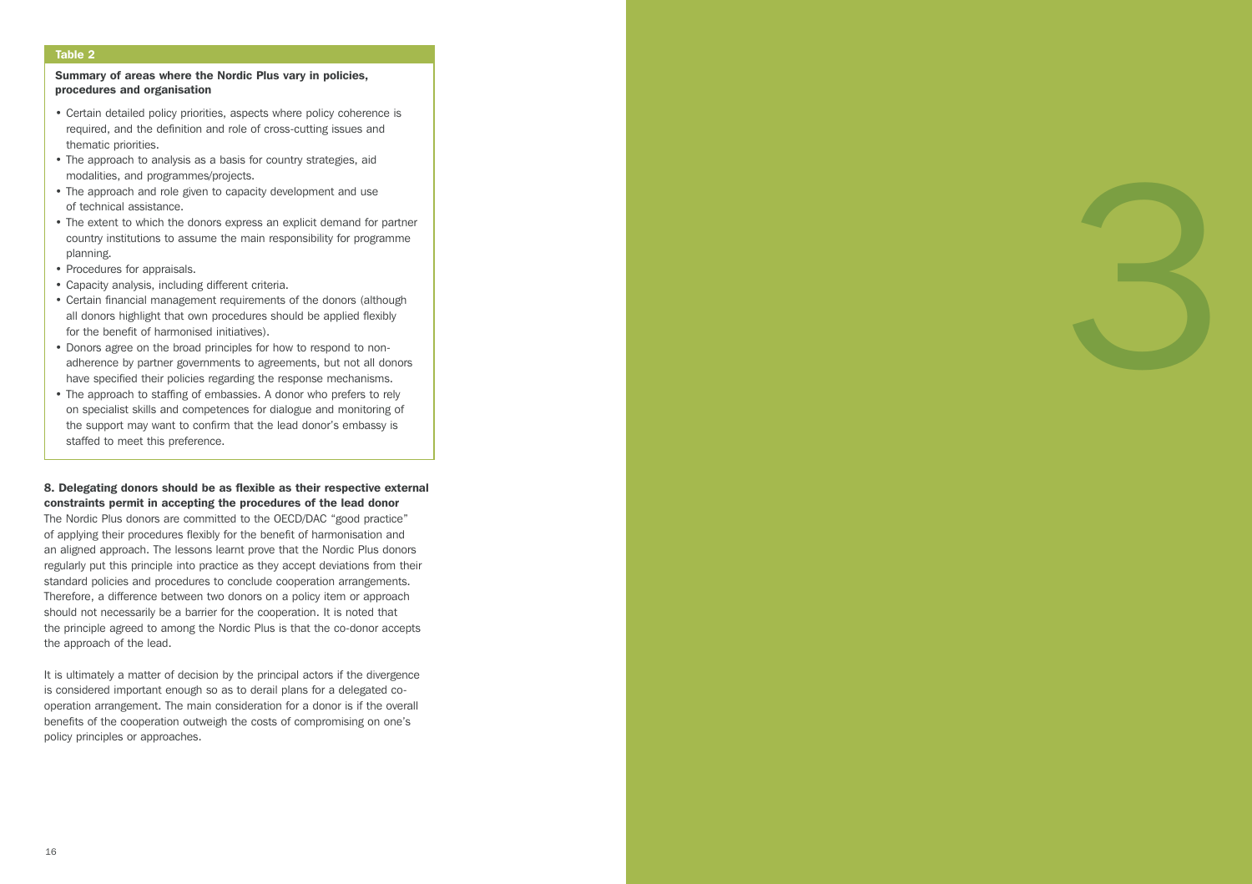#### Table 2

#### Summary of areas where the Nordic Plus vary in policies, procedures and organisation

- Certain detailed policy priorities, aspects where policy coherence is required, and the definition and role of cross-cutting issues and thematic priorities.
- The approach to analysis as a basis for country strategies, aid modalities, and programmes/projects.
- The approach and role given to capacity development and use of technical assistance.
- The extent to which the donors express an explicit demand for partner country institutions to assume the main responsibility for programme planning.
- Procedures for appraisals.
- Capacity analysis, including different criteria.
- Certain financial management requirements of the donors (although all donors highlight that own procedures should be applied flexibly for the benefit of harmonised initiatives).

3

- Donors agree on the broad principles for how to respond to nonadherence by partner governments to agreements, but not all donors have specified their policies regarding the response mechanisms.
- The approach to staffing of embassies. A donor who prefers to rely on specialist skills and competences for dialogue and monitoring of the support may want to confirm that the lead donor's embassy is staffed to meet this preference.

# 8. Delegating donors should be as flexible as their respective external constraints permit in accepting the procedures of the lead donor

The Nordic Plus donors are committed to the OECD/DAC "good practice" of applying their procedures flexibly for the benefit of harmonisation and an aligned approach. The lessons learnt prove that the Nordic Plus donors regularly put this principle into practice as they accept deviations from their standard policies and procedures to conclude cooperation arrangements. Therefore, a difference between two donors on a policy item or approach should not necessarily be a barrier for the cooperation. It is noted that the principle agreed to among the Nordic Plus is that the co-donor accepts the approach of the lead.

It is ultimately a matter of decision by the principal actors if the divergence is considered important enough so as to derail plans for a delegated cooperation arrangement. The main consideration for a donor is if the overall benefits of the cooperation outweigh the costs of compromising on one's policy principles or approaches.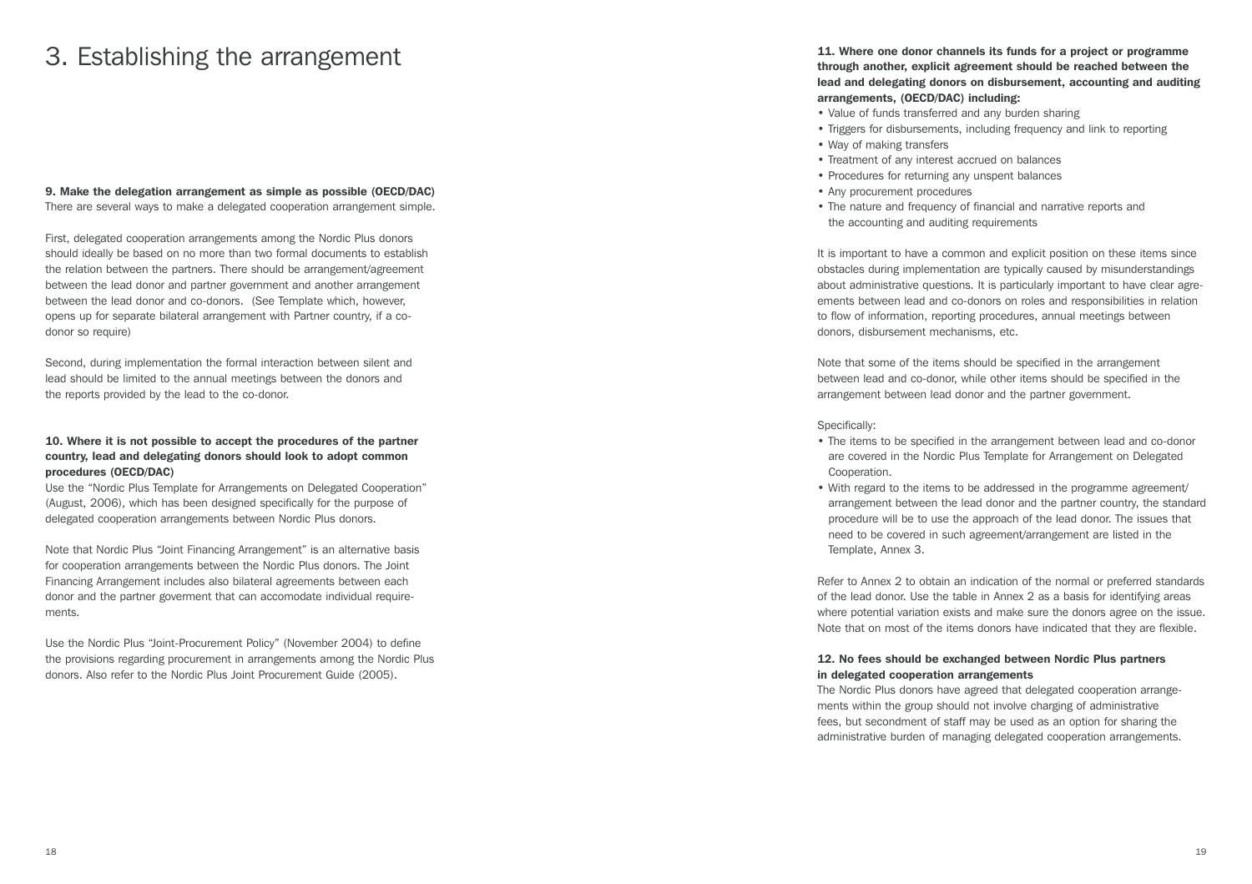# 3. Establishing the arrangement

#### 9. Make the delegation arrangement as simple as possible (OECD/DAC)

There are several ways to make a delegated cooperation arrangement simple.

First, delegated cooperation arrangements among the Nordic Plus donors should ideally be based on no more than two formal documents to establish the relation between the partners. There should be arrangement/agreement between the lead donor and partner government and another arrangement between the lead donor and co-donors. (See Template which, however, opens up for separate bilateral arrangement with Partner country, if a codonor so require)

Second, during implementation the formal interaction between silent and lead should be limited to the annual meetings between the donors and the reports provided by the lead to the co-donor.

#### 10. Where it is not possible to accept the procedures of the partner country, lead and delegating donors should look to adopt common procedures (OECD/DAC)

Use the "Nordic Plus Template for Arrangements on Delegated Cooperation" (August, 2006), which has been designed specifically for the purpose of delegated cooperation arrangements between Nordic Plus donors.

Note that Nordic Plus "Joint Financing Arrangement" is an alternative basis for cooperation arrangements between the Nordic Plus donors. The Joint Financing Arrangement includes also bilateral agreements between each donor and the partner goverment that can accomodate individual requirements.

Use the Nordic Plus "Joint-Procurement Policy" (November 2004) to define the provisions regarding procurement in arrangements among the Nordic Plus donors. Also refer to the Nordic Plus Joint Procurement Guide (2005).

11. Where one donor channels its funds for a project or programme through another, explicit agreement should be reached between the lead and delegating donors on disbursement, accounting and auditing arrangements, (OECD/DAC) including:

- Value of funds transferred and any burden sharing
- Triggers for disbursements, including frequency and link to reporting
- Way of making transfers
- Treatment of any interest accrued on balances
- Procedures for returning any unspent balances
- Any procurement procedures
- The nature and frequency of financial and narrative reports and the accounting and auditing requirements

It is important to have a common and explicit position on these items since obstacles during implementation are typically caused by misunderstandings about administrative questions. It is particularly important to have clear agreements between lead and co-donors on roles and responsibilities in relation to flow of information, reporting procedures, annual meetings between donors, disbursement mechanisms, etc.

Note that some of the items should be specified in the arrangement between lead and co-donor, while other items should be specified in the arrangement between lead donor and the partner government.

Specifically:

- The items to be specified in the arrangement between lead and co-donor are covered in the Nordic Plus Template for Arrangement on Delegated Cooperation.
- With regard to the items to be addressed in the programme agreement/ arrangement between the lead donor and the partner country, the standard procedure will be to use the approach of the lead donor. The issues that need to be covered in such agreement/arrangement are listed in the Template, Annex 3.

Refer to Annex 2 to obtain an indication of the normal or preferred standards of the lead donor. Use the table in Annex 2 as a basis for identifying areas where potential variation exists and make sure the donors agree on the issue. Note that on most of the items donors have indicated that they are flexible.

## 12. No fees should be exchanged between Nordic Plus partners in delegated cooperation arrangements

The Nordic Plus donors have agreed that delegated cooperation arrangements within the group should not involve charging of administrative fees, but secondment of staff may be used as an option for sharing the administrative burden of managing delegated cooperation arrangements.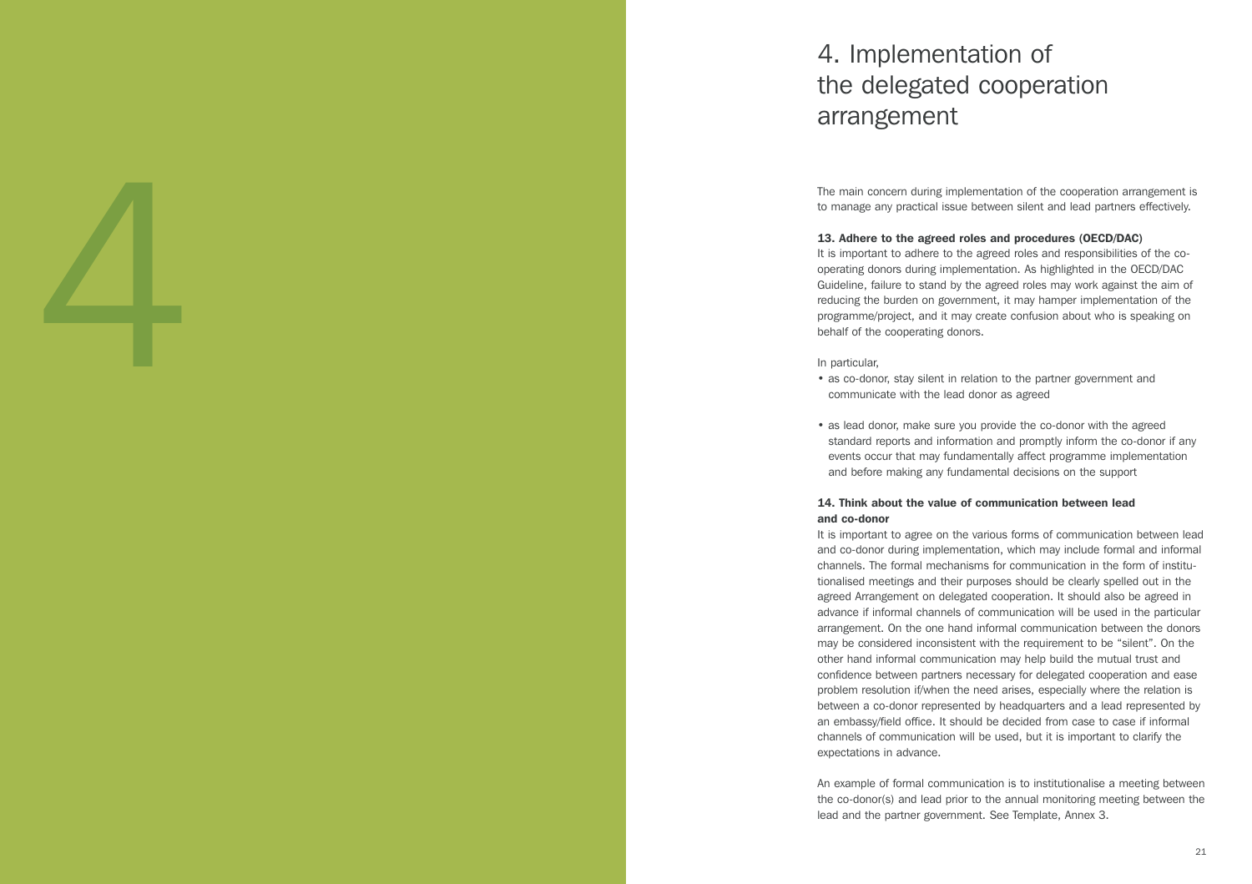# 4. Implementation of the delegated cooperation arrangement

The main concern during implementation of the cooperation arrangement is to manage any practical issue between silent and lead partners effectively.

#### 13. Adhere to the agreed roles and procedures (OECD/DAC)

It is important to adhere to the agreed roles and responsibilities of the cooperating donors during implementation. As highlighted in the OECD/DAC Guideline, failure to stand by the agreed roles may work against the aim of reducing the burden on government, it may hamper implementation of the programme/project, and it may create confusion about who is speaking on behalf of the cooperating donors.

#### In particular,

- as co-donor, stay silent in relation to the partner government and communicate with the lead donor as agreed
- as lead donor, make sure you provide the co-donor with the agreed standard reports and information and promptly inform the co-donor if any events occur that may fundamentally affect programme implementation and before making any fundamental decisions on the support

#### 14. Think about the value of communication between lead and co-donor

The real content during model of the background of the content during one of the first of the statistical political political political political political political political political political political political polit It is important to agree on the various forms of communication between lead and co-donor during implementation, which may include formal and informal channels. The formal mechanisms for communication in the form of institu tionalised meetings and their purposes should be clearly spelled out in the agreed Arrangement on delegated cooperation. It should also be agreed in advance if informal channels of communication will be used in the particular arrangement. On the one hand informal communication between the donors may be considered inconsistent with the requirement to be "silent". On the other hand informal communication may help build the mutual trust and confidence between partners necessary for delegated cooperation and ease problem resolution if/when the need arises, especially where the relation is between a co-donor represented by headquarters and a lead represented by an embassy/field office. It should be decided from case to case if informal channels of communication will be used, but it is important to clarify the expectations in advance.

An example of formal communication is to institutionalise a meeting between the co-donor(s) and lead prior to the annual monitoring meeting between the lead and the partner government. See Template, Annex 3.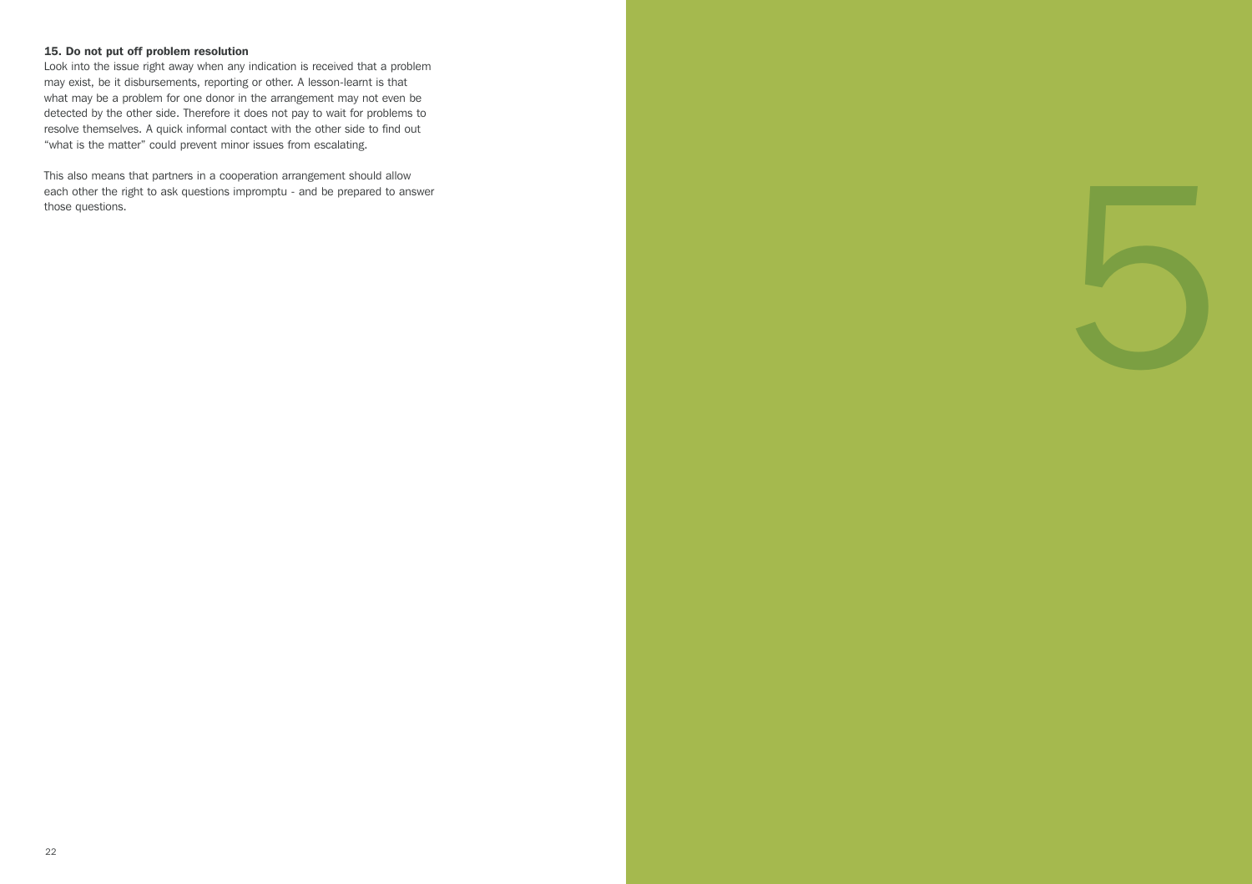#### 15. Do not put off problem resolution

Look into the issue right away when any indication is received that a problem may exist, be it disbursements, reporting or other. A lesson-learnt is that what may be a problem for one donor in the arrangement may not even be detected by the other side. Therefore it does not pay to wait for problems to resolve themselves. A quick informal contact with the other side to find out "what is the matter" could prevent minor issues from escalating.

This also means that partners in a cooperation arrangement should allow each other the right to ask questions impromptu - and be prepared to answer This also means that partners in a cooperation arrangement should allow<br>each other the right to ask questions impromptu - and be prepared to answer<br>those questions.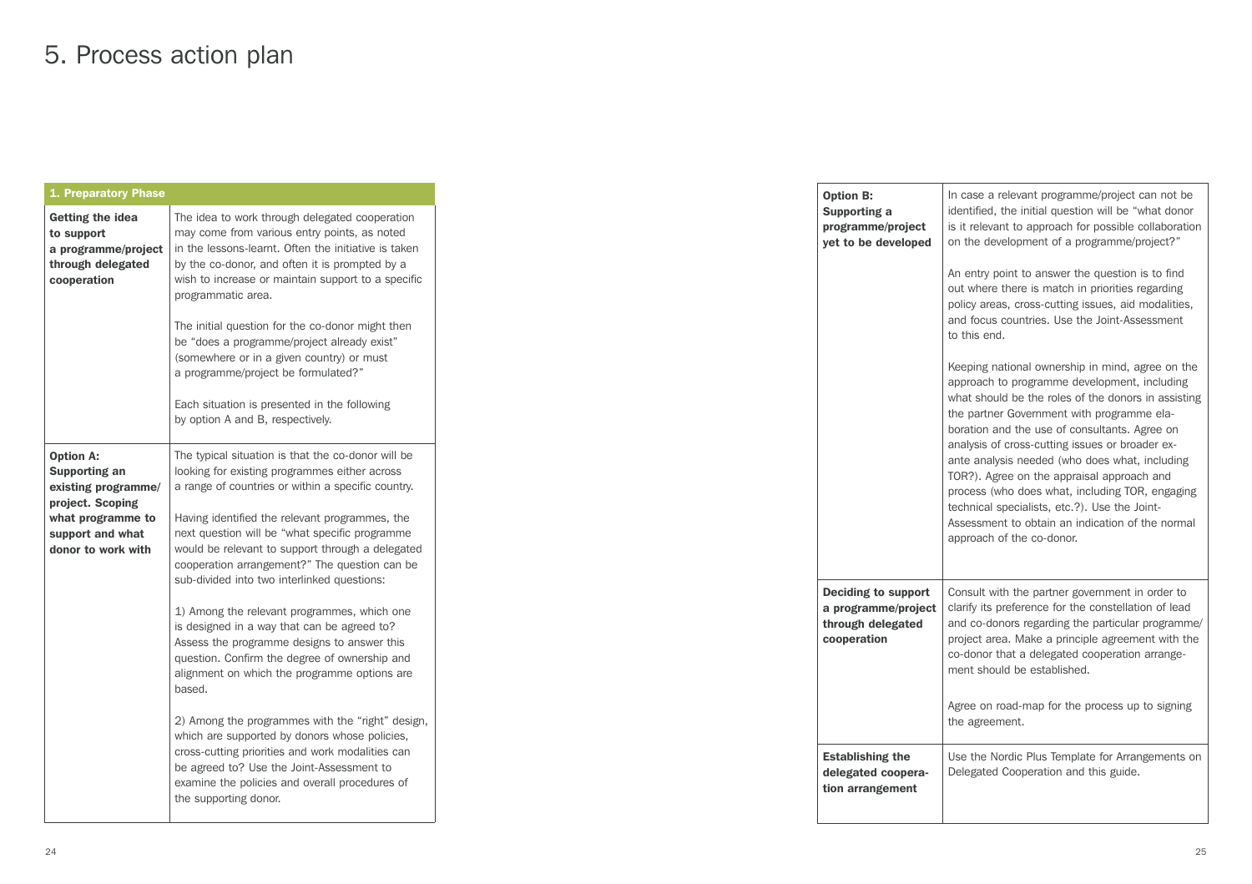# 5. Process action plan

| 1. Preparatory Phase                                                                                                                        |                                                                                                                                                                                                                                                                                                                                                                                                                                                                                                                                                                                                                                                                                                                                                                                                                                                                                                                                                            |
|---------------------------------------------------------------------------------------------------------------------------------------------|------------------------------------------------------------------------------------------------------------------------------------------------------------------------------------------------------------------------------------------------------------------------------------------------------------------------------------------------------------------------------------------------------------------------------------------------------------------------------------------------------------------------------------------------------------------------------------------------------------------------------------------------------------------------------------------------------------------------------------------------------------------------------------------------------------------------------------------------------------------------------------------------------------------------------------------------------------|
| Getting the idea<br>to support<br>a programme/project<br>through delegated<br>cooperation                                                   | The idea to work through delegated cooperation<br>may come from various entry points, as noted<br>in the lessons-learnt. Often the initiative is taken<br>by the co-donor, and often it is prompted by a<br>wish to increase or maintain support to a specific<br>programmatic area.<br>The initial question for the co-donor might then<br>be "does a programme/project already exist"<br>(somewhere or in a given country) or must<br>a programme/project be formulated?"<br>Each situation is presented in the following<br>by option A and B, respectively.                                                                                                                                                                                                                                                                                                                                                                                            |
| <b>Option A:</b><br>Supporting an<br>existing programme/<br>project. Scoping<br>what programme to<br>support and what<br>donor to work with | The typical situation is that the co-donor will be<br>looking for existing programmes either across<br>a range of countries or within a specific country.<br>Having identified the relevant programmes, the<br>next question will be "what specific programme<br>would be relevant to support through a delegated<br>cooperation arrangement?" The question can be<br>sub-divided into two interlinked questions:<br>1) Among the relevant programmes, which one<br>is designed in a way that can be agreed to?<br>Assess the programme designs to answer this<br>question. Confirm the degree of ownership and<br>alignment on which the programme options are<br>based.<br>2) Among the programmes with the "right" design,<br>which are supported by donors whose policies,<br>cross-cutting priorities and work modalities can<br>be agreed to? Use the Joint-Assessment to<br>examine the policies and overall procedures of<br>the supporting donor. |

| <b>Option B:</b><br>Supporting a<br>programme/project<br>yet to be developed          | In case a relevant programme/project can not be<br>identified, the initial question will be "what donor<br>is it relevant to approach for possible collaboration<br>on the development of a programme/project?"                                                                                                                                                                                                                                                                                                                                                                                |
|---------------------------------------------------------------------------------------|------------------------------------------------------------------------------------------------------------------------------------------------------------------------------------------------------------------------------------------------------------------------------------------------------------------------------------------------------------------------------------------------------------------------------------------------------------------------------------------------------------------------------------------------------------------------------------------------|
|                                                                                       | An entry point to answer the question is to find<br>out where there is match in priorities regarding<br>policy areas, cross-cutting issues, aid modalities,<br>and focus countries. Use the Joint-Assessment<br>to this end.                                                                                                                                                                                                                                                                                                                                                                   |
|                                                                                       | Keeping national ownership in mind, agree on the<br>approach to programme development, including<br>what should be the roles of the donors in assisting<br>the partner Government with programme ela-<br>boration and the use of consultants. Agree on<br>analysis of cross-cutting issues or broader ex-<br>ante analysis needed (who does what, including<br>TOR?). Agree on the appraisal approach and<br>process (who does what, including TOR, engaging<br>technical specialists, etc.?). Use the Joint-<br>Assessment to obtain an indication of the normal<br>approach of the co-donor. |
| <b>Deciding to support</b><br>a programme/project<br>through delegated<br>cooperation | Consult with the partner government in order to<br>clarify its preference for the constellation of lead<br>and co-donors regarding the particular programme/<br>project area. Make a principle agreement with the<br>co-donor that a delegated cooperation arrange-<br>ment should be established.                                                                                                                                                                                                                                                                                             |
|                                                                                       | Agree on road-map for the process up to signing<br>the agreement.                                                                                                                                                                                                                                                                                                                                                                                                                                                                                                                              |
| <b>Establishing the</b><br>delegated coopera-<br>tion arrangement                     | Use the Nordic Plus Template for Arrangements on<br>Delegated Cooperation and this guide.                                                                                                                                                                                                                                                                                                                                                                                                                                                                                                      |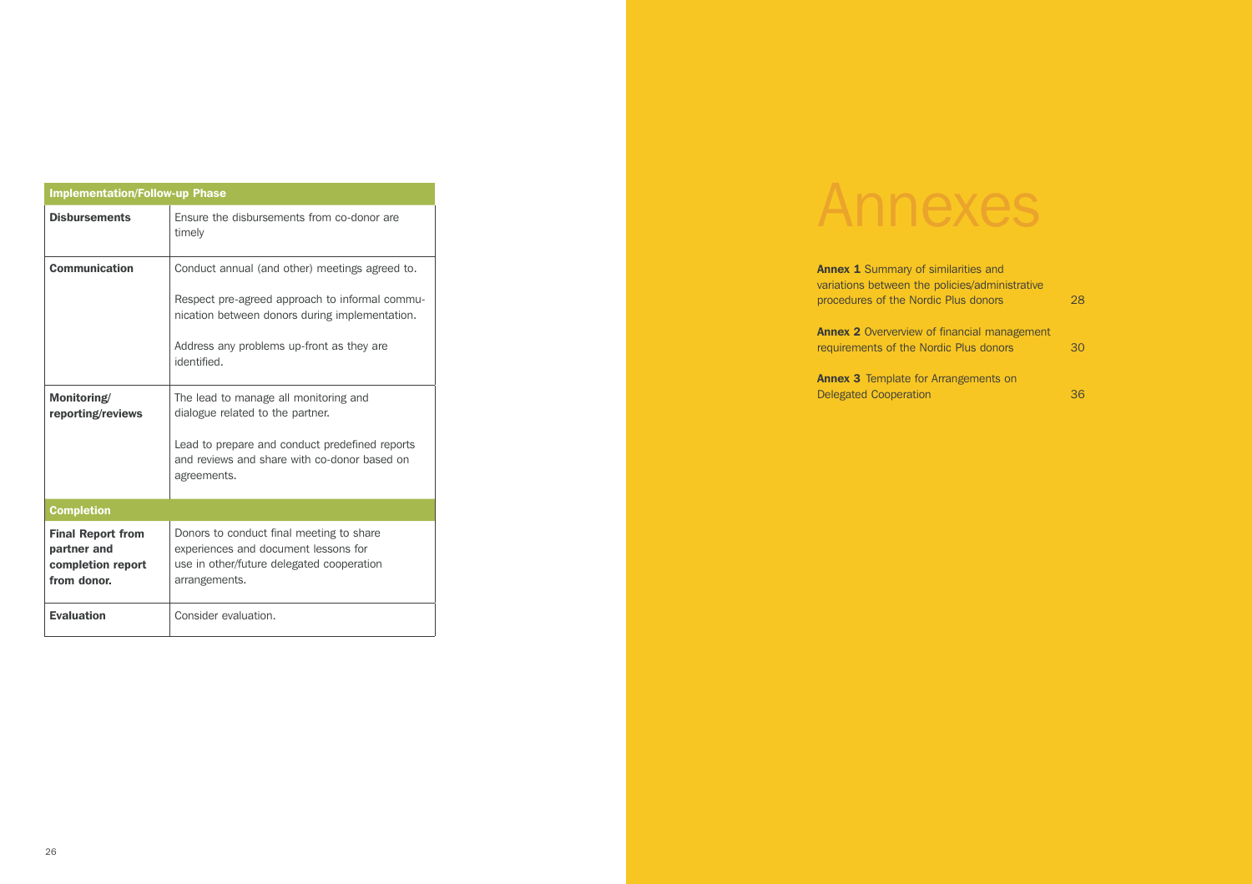|                                                                             | <b>Implementation/Follow-up Phase</b>                                                                                                                                                                          |  |  |  |  |  |  |
|-----------------------------------------------------------------------------|----------------------------------------------------------------------------------------------------------------------------------------------------------------------------------------------------------------|--|--|--|--|--|--|
| <b>Disbursements</b>                                                        | Ensure the disbursements from co-donor are<br>timely                                                                                                                                                           |  |  |  |  |  |  |
| <b>Communication</b>                                                        | Conduct annual (and other) meetings agreed to.<br>Respect pre-agreed approach to informal commu-<br>nication between donors during implementation.<br>Address any problems up-front as they are<br>identified. |  |  |  |  |  |  |
| Monitoring/<br>reporting/reviews                                            | The lead to manage all monitoring and<br>dialogue related to the partner.<br>Lead to prepare and conduct predefined reports<br>and reviews and share with co-donor based on<br>agreements.                     |  |  |  |  |  |  |
| <b>Completion</b>                                                           |                                                                                                                                                                                                                |  |  |  |  |  |  |
| <b>Final Report from</b><br>partner and<br>completion report<br>from donor. | Donors to conduct final meeting to share<br>experiences and document lessons for<br>use in other/future delegated cooperation<br>arrangements.                                                                 |  |  |  |  |  |  |
| <b>Evaluation</b>                                                           | Consider evaluation.                                                                                                                                                                                           |  |  |  |  |  |  |

# Annexes

| <b>Annex 1</b> Summary of similarities and<br>variations between the policies/administrative |    |
|----------------------------------------------------------------------------------------------|----|
| procedures of the Nordic Plus donors                                                         | 28 |
| <b>Annex 2</b> Oververview of financial management<br>requirements of the Nordic Plus donors | 30 |
| <b>Annex 3</b> Template for Arrangements on                                                  |    |
| <b>Delegated Cooperation</b>                                                                 | 36 |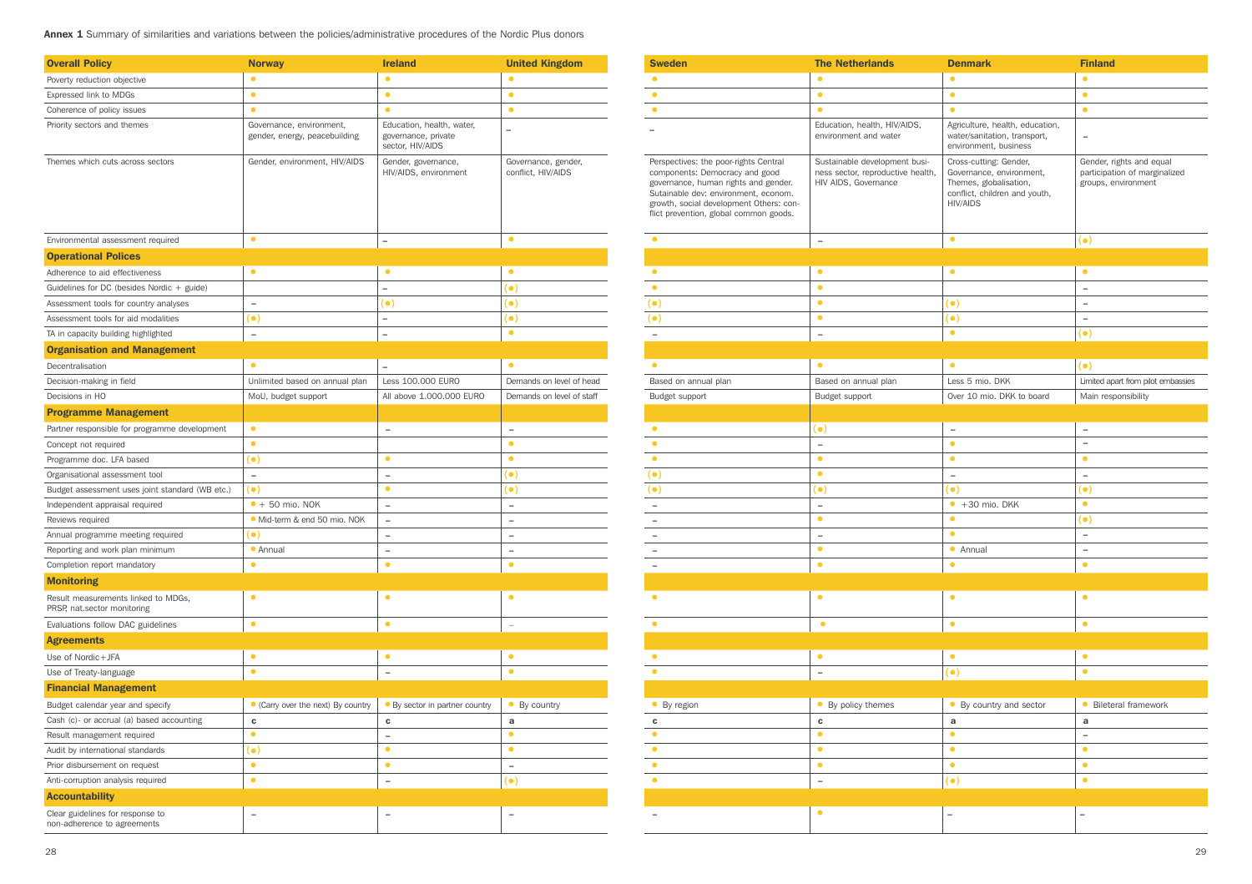Annex 1 Summary of similarities and variations between the policies/administrative procedures of the Nordic Plus donors

| <b>Overall Policy</b>                                              | <b>Norway</b>                                             | <b>Ireland</b>                                                       | <b>United Kingdom</b>                     |
|--------------------------------------------------------------------|-----------------------------------------------------------|----------------------------------------------------------------------|-------------------------------------------|
| Poverty reduction objective                                        | $\bullet$                                                 | $\bullet$                                                            | $\bullet$                                 |
| Expressed link to MDGs                                             | $\bullet$                                                 | $\bullet$                                                            | $\bullet$                                 |
| Coherence of policy issues                                         | $\bullet$                                                 | $\bullet$                                                            | $\bullet$                                 |
| Priority sectors and themes                                        | Governance, environment,<br>gender, energy, peacebuilding | Education, health, water,<br>governance, private<br>sector, HIV/AIDS | $\overline{\phantom{0}}$                  |
| Themes which cuts across sectors                                   | Gender, environment, HIV/AIDS                             | Gender, governance,<br>HIV/AIDS, environment                         | Governance, gender,<br>conflict, HIV/AIDS |
| Environmental assessment required                                  | $\bullet$                                                 | $\qquad \qquad -$                                                    | $\bullet$                                 |
| <b>Operational Polices</b>                                         |                                                           |                                                                      |                                           |
| Adherence to aid effectiveness                                     | $\bullet$                                                 | $\bullet$                                                            | $\bullet$                                 |
| Guidelines for DC (besides Nordic $+$ guide)                       |                                                           | $\overline{\phantom{0}}$                                             | (●)                                       |
| Assessment tools for country analyses                              | $\qquad \qquad -$                                         | $(\bullet)$                                                          | (●)                                       |
| Assessment tools for aid modalities                                | (●)                                                       | $\overline{\phantom{0}}$                                             | (●)                                       |
| TA in capacity building highlighted                                | $\overline{\phantom{0}}$                                  | $\overline{a}$                                                       | $\bullet$                                 |
| <b>Organisation and Management</b>                                 |                                                           |                                                                      |                                           |
| Decentralisation                                                   | $\bullet$                                                 | $\overline{\phantom{0}}$                                             | $\bullet$                                 |
| Decision-making in field                                           | Unlimited based on annual plan                            | Less 100.000 EURO                                                    | Demands on level of head                  |
| Decisions in HO                                                    | MoU, budget support                                       | All above 1.000.000 EURO                                             | Demands on level of staff                 |
| <b>Programme Management</b>                                        |                                                           |                                                                      |                                           |
| Partner responsible for programme development                      | $\bullet$                                                 | $\qquad \qquad -$                                                    | $\overline{\phantom{0}}$                  |
| Concept not required                                               | $\bullet$                                                 |                                                                      | $\bullet$                                 |
| Programme doc. LFA based                                           | (●)                                                       | $\bullet$                                                            | $\bullet$                                 |
| Organisational assessment tool                                     | $\overline{\phantom{a}}$                                  | $\qquad \qquad -$                                                    | (●)                                       |
| Budget assessment uses joint standard (WB etc.)                    | (●)                                                       | $\bullet$                                                            | (●)                                       |
| Independent appraisal required                                     | $\bullet$ + 50 mio. NOK                                   | $\overline{\phantom{a}}$                                             | L.                                        |
| Reviews required                                                   | • Mid-term & end 50 mio. NOK                              | $\qquad \qquad -$                                                    | $\overline{\phantom{0}}$                  |
| Annual programme meeting required                                  | (●)                                                       | $\equiv$                                                             | $\equiv$                                  |
| Reporting and work plan minimum                                    | • Annual                                                  | $\overline{\phantom{0}}$                                             | $\overline{\phantom{0}}$                  |
| Completion report mandatory                                        | $\bullet$                                                 | $\bullet$                                                            | $\bullet$                                 |
| <b>Monitoring</b>                                                  |                                                           |                                                                      |                                           |
| Result measurements linked to MDGs,<br>PRSP, nat.sector monitoring | $\bullet$                                                 | $\bullet$                                                            | $\bullet$                                 |
| Evaluations follow DAC guidelines                                  | $\bullet$                                                 | $\bullet$                                                            | $\overline{\phantom{0}}$                  |
| <b>Agreements</b>                                                  |                                                           |                                                                      |                                           |
| Use of Nordic+JFA                                                  | $\bullet$                                                 | $\bullet$                                                            | $\bullet$                                 |
| Use of Treaty-language                                             | $\bullet$                                                 | $\overline{\phantom{0}}$                                             | $\bullet$                                 |
| <b>Financial Management</b>                                        |                                                           |                                                                      |                                           |
| Budget calendar year and specify                                   | • (Carry over the next) By country                        | • By sector in partner country                                       | • By country                              |
| Cash (c)- or accrual (a) based accounting                          | $\mathbf c$                                               | c                                                                    | a                                         |
| Result management required                                         | $\bullet$                                                 | $\overline{\phantom{0}}$                                             | $\bullet$                                 |
| Audit by international standards                                   | (●)                                                       | $\bullet$                                                            | $\bullet$                                 |
| Prior disbursement on request                                      | $\bullet$                                                 | $\bullet$                                                            | $\overline{\phantom{0}}$                  |
| Anti-corruption analysis required                                  | $\bullet$                                                 | $\overline{\phantom{a}}$                                             | $(\bullet)$                               |
| <b>Accountability</b>                                              |                                                           |                                                                      |                                           |
| Clear guidelines for response to<br>non-adherence to agreements    |                                                           |                                                                      |                                           |

| <b>Sweden</b>                                                                                                                                                                                                                                | <b>The Netherlands</b>                                                                     | <b>Denmark</b>                                                                                                                   | <b>Finland</b>                                                                   |
|----------------------------------------------------------------------------------------------------------------------------------------------------------------------------------------------------------------------------------------------|--------------------------------------------------------------------------------------------|----------------------------------------------------------------------------------------------------------------------------------|----------------------------------------------------------------------------------|
| $\bullet$                                                                                                                                                                                                                                    | $\bullet$                                                                                  | $\bullet$                                                                                                                        | $\bullet$                                                                        |
| $\bullet$                                                                                                                                                                                                                                    | $\bullet$                                                                                  | $\bullet$                                                                                                                        | $\bullet$                                                                        |
| $\bullet$                                                                                                                                                                                                                                    | $\bullet$                                                                                  | $\bullet$                                                                                                                        | $\bullet$                                                                        |
|                                                                                                                                                                                                                                              | Education, health, HIV/AIDS,<br>environment and water                                      | Agriculture, health, education,<br>water/sanitation, transport,<br>environment, business                                         | ÷,                                                                               |
| Perspectives: the poor-rights Central<br>components: Democracy and good<br>governance, human rights and gender.<br>Sutainable dev: environment, econom.<br>growth, social development Others: con-<br>flict prevention, global common goods. | Sustainable development busi-<br>ness sector, reproductive health,<br>HIV AIDS, Governance | Cross-cutting: Gender,<br>Governance, environment,<br>Themes, globalisation,<br>conflict, children and youth,<br><b>HIV/AIDS</b> | Gender, rights and equal<br>participation of marginalized<br>groups, environment |
| $\bullet$                                                                                                                                                                                                                                    | $\qquad \qquad -$                                                                          | $\bullet$                                                                                                                        | $($ .)                                                                           |
|                                                                                                                                                                                                                                              |                                                                                            |                                                                                                                                  |                                                                                  |
| $\bullet$                                                                                                                                                                                                                                    | $\bullet$                                                                                  | $\bullet$                                                                                                                        | $\bullet$                                                                        |
| $\bullet$                                                                                                                                                                                                                                    | $\bullet$                                                                                  |                                                                                                                                  | $\overline{\phantom{a}}$                                                         |
| $(\bullet)$                                                                                                                                                                                                                                  | $\bullet$                                                                                  | $(\bullet)$                                                                                                                      | $\overline{\phantom{a}}$                                                         |
| $(\bullet)$                                                                                                                                                                                                                                  | $\bullet$                                                                                  | $(\bullet)$                                                                                                                      | $\overline{\phantom{a}}$                                                         |
|                                                                                                                                                                                                                                              | $\overline{\phantom{0}}$                                                                   | $\bullet$                                                                                                                        | $(\bullet)$                                                                      |
|                                                                                                                                                                                                                                              |                                                                                            |                                                                                                                                  |                                                                                  |
| $\bullet$                                                                                                                                                                                                                                    | $\bullet$                                                                                  | $\bullet$                                                                                                                        | $(\bullet)$                                                                      |
| Based on annual plan                                                                                                                                                                                                                         | Based on annual plan                                                                       | Less 5 mio. DKK                                                                                                                  | Limited apart from pilot embassies                                               |
| Budget support                                                                                                                                                                                                                               | Budget support                                                                             | Over 10 mio. DKK to board                                                                                                        | Main responsibility                                                              |
|                                                                                                                                                                                                                                              |                                                                                            |                                                                                                                                  |                                                                                  |
| $\bullet$                                                                                                                                                                                                                                    | $($ .)                                                                                     |                                                                                                                                  | $\overline{\phantom{a}}$                                                         |
| $\bullet$                                                                                                                                                                                                                                    |                                                                                            | $\overline{\phantom{0}}$<br>$\bullet$                                                                                            | $\overline{\phantom{0}}$                                                         |
| $\bullet$                                                                                                                                                                                                                                    | $\overline{\phantom{a}}$<br>$\bullet$                                                      | $\bullet$                                                                                                                        | $\bullet$                                                                        |
| $(\bullet)$                                                                                                                                                                                                                                  | $\bullet$                                                                                  | $\overline{\phantom{a}}$                                                                                                         | $\overline{\phantom{a}}$                                                         |
| (●)                                                                                                                                                                                                                                          | $(\bullet)$                                                                                | $(\bullet)$                                                                                                                      | $(\bullet)$                                                                      |
|                                                                                                                                                                                                                                              |                                                                                            | $+30$ mio. DKK                                                                                                                   | $\bullet$                                                                        |
| $\overline{\phantom{a}}$                                                                                                                                                                                                                     | $\overline{\phantom{a}}$<br>$\bullet$                                                      | $\bullet$                                                                                                                        |                                                                                  |
| $\overline{\phantom{m}}$                                                                                                                                                                                                                     |                                                                                            | $\bullet$                                                                                                                        | $(\bullet)$<br>$\overline{\phantom{a}}$                                          |
| $\overline{\phantom{a}}$                                                                                                                                                                                                                     | $\overline{\phantom{a}}$<br>$\bullet$                                                      |                                                                                                                                  | $\qquad \qquad -$                                                                |
| $\overline{\phantom{m}}$                                                                                                                                                                                                                     | $\bullet$                                                                                  | • Annual<br>$\bullet$                                                                                                            | $\bullet$                                                                        |
| $\overline{\phantom{a}}$                                                                                                                                                                                                                     |                                                                                            |                                                                                                                                  |                                                                                  |
| $\bullet$                                                                                                                                                                                                                                    | $\bullet$                                                                                  | $\bullet$                                                                                                                        | $\bullet$                                                                        |
|                                                                                                                                                                                                                                              | $\bullet$                                                                                  | $\bullet$                                                                                                                        |                                                                                  |
| $\bullet$                                                                                                                                                                                                                                    |                                                                                            |                                                                                                                                  | $\bullet$                                                                        |
|                                                                                                                                                                                                                                              |                                                                                            |                                                                                                                                  |                                                                                  |
| $\bullet$                                                                                                                                                                                                                                    | $\bullet$                                                                                  | $\bullet$                                                                                                                        | $\bullet$                                                                        |
| $\bullet$                                                                                                                                                                                                                                    | $\overline{\phantom{a}}$                                                                   | $(\bullet)$                                                                                                                      | $\bullet$                                                                        |
|                                                                                                                                                                                                                                              |                                                                                            |                                                                                                                                  |                                                                                  |
| • By region                                                                                                                                                                                                                                  | • By policy themes                                                                         | • By country and sector                                                                                                          | <b>Bileteral framework</b><br>$\bullet$                                          |
| c                                                                                                                                                                                                                                            | c                                                                                          | a                                                                                                                                | a                                                                                |
| $\bullet$                                                                                                                                                                                                                                    | $\bullet$                                                                                  | $\bullet$                                                                                                                        | $\overline{\phantom{0}}$                                                         |
| $\bullet$                                                                                                                                                                                                                                    | $\bullet$                                                                                  | $\bullet$                                                                                                                        | $\bullet$                                                                        |
| $\bullet$                                                                                                                                                                                                                                    | $\bullet$                                                                                  | $\bullet$                                                                                                                        | $\bullet$                                                                        |
| $\bullet$                                                                                                                                                                                                                                    | $\overline{\phantom{a}}$                                                                   | $($ .)                                                                                                                           | $\bullet$                                                                        |
|                                                                                                                                                                                                                                              |                                                                                            |                                                                                                                                  |                                                                                  |
| $\overline{\phantom{a}}$                                                                                                                                                                                                                     | $\bullet$                                                                                  | $\qquad \qquad -$                                                                                                                | -                                                                                |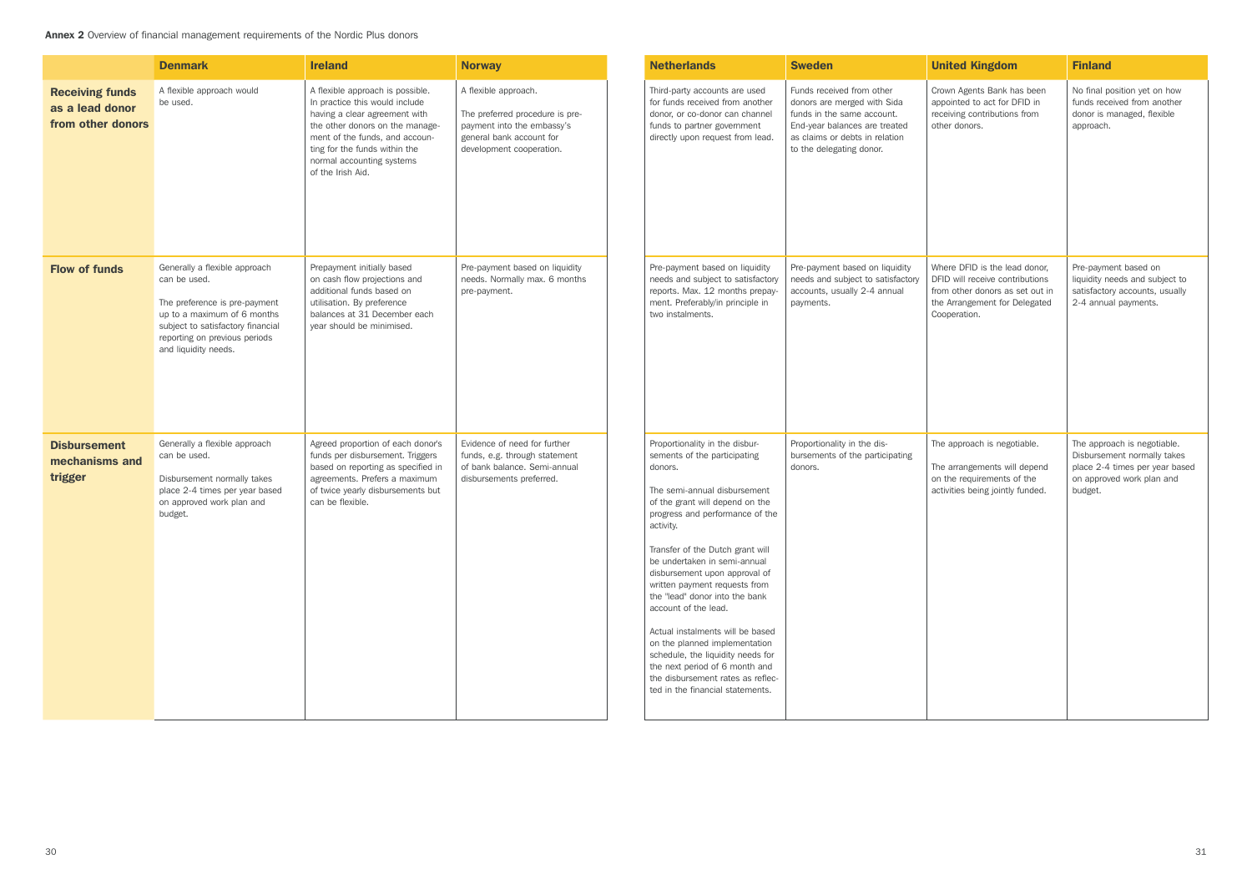Annex 2 Overview of financial management requirements of the Nordic Plus donors

|                                                                | <b>Denmark</b>                                                                                                                                                                                              | <b>Ireland</b>                                                                                                                                                                                                                                              | <b>Norway</b>                                                                                                                                 | <b>Netherlands</b>                                                                                                                                                                                                                                                                                                                                                                                                                                                                                                                                                                                                | <b>Sweden</b>                                                                                                                                                                         | <b>United Kingdom</b>                                                                                                                                | <b>Finland</b>                                                                                                                       |
|----------------------------------------------------------------|-------------------------------------------------------------------------------------------------------------------------------------------------------------------------------------------------------------|-------------------------------------------------------------------------------------------------------------------------------------------------------------------------------------------------------------------------------------------------------------|-----------------------------------------------------------------------------------------------------------------------------------------------|-------------------------------------------------------------------------------------------------------------------------------------------------------------------------------------------------------------------------------------------------------------------------------------------------------------------------------------------------------------------------------------------------------------------------------------------------------------------------------------------------------------------------------------------------------------------------------------------------------------------|---------------------------------------------------------------------------------------------------------------------------------------------------------------------------------------|------------------------------------------------------------------------------------------------------------------------------------------------------|--------------------------------------------------------------------------------------------------------------------------------------|
| <b>Receiving funds</b><br>as a lead donor<br>from other donors | A flexible approach would<br>be used.                                                                                                                                                                       | A flexible approach is possible.<br>In practice this would include<br>having a clear agreement with<br>the other donors on the manage-<br>ment of the funds, and accoun-<br>ting for the funds within the<br>normal accounting systems<br>of the Irish Aid. | A flexible approach.<br>The preferred procedure is pre-<br>payment into the embassy's<br>general bank account for<br>development cooperation. | Third-party accounts are used<br>for funds received from another<br>donor, or co-donor can channel<br>funds to partner government<br>directly upon request from lead.                                                                                                                                                                                                                                                                                                                                                                                                                                             | Funds received from other<br>donors are merged with Sida<br>funds in the same account.<br>End-year balances are treated<br>as claims or debts in relation<br>to the delegating donor. | Crown Agents Bank has been<br>appointed to act for DFID in<br>receiving contributions from<br>other donors.                                          | No final position yet on how<br>funds received from another<br>donor is managed, flexible<br>approach.                               |
| <b>Flow of funds</b>                                           | Generally a flexible approach<br>can be used.<br>The preference is pre-payment<br>up to a maximum of 6 months<br>subject to satisfactory financial<br>reporting on previous periods<br>and liquidity needs. | Prepayment initially based<br>on cash flow projections and<br>additional funds based on<br>utilisation. By preference<br>balances at 31 December each<br>year should be minimised.                                                                          | Pre-payment based on liquidity<br>needs. Normally max. 6 months<br>pre-payment.                                                               | Pre-payment based on liquidity<br>needs and subject to satisfactory<br>reports. Max. 12 months prepay-<br>ment. Preferably/in principle in<br>two instalments.                                                                                                                                                                                                                                                                                                                                                                                                                                                    | Pre-payment based on liquidity<br>needs and subject to satisfactory<br>accounts, usually 2-4 annual<br>payments.                                                                      | Where DFID is the lead donor.<br>DFID will receive contributions<br>from other donors as set out in<br>the Arrangement for Delegated<br>Cooperation. | Pre-payment based on<br>liquidity needs and subject to<br>satisfactory accounts, usually<br>2-4 annual payments.                     |
| <b>Disbursement</b><br>mechanisms and<br>trigger               | Generally a flexible approach<br>can be used.<br>Disbursement normally takes<br>place 2-4 times per year based<br>on approved work plan and<br>budget.                                                      | Agreed proportion of each donor's<br>funds per disbursement. Triggers<br>based on reporting as specified in<br>agreements. Prefers a maximum<br>of twice yearly disbursements but<br>can be flexible.                                                       | Evidence of need for further<br>funds, e.g. through statement<br>of bank balance. Semi-annual<br>disbursements preferred.                     | Proportionality in the disbur-<br>sements of the participating<br>donors.<br>The semi-annual disbursement<br>of the grant will depend on the<br>progress and performance of the<br>activity.<br>Transfer of the Dutch grant will<br>be undertaken in semi-annual<br>disbursement upon approval of<br>written payment requests from<br>the "lead" donor into the bank<br>account of the lead.<br>Actual instalments will be based<br>on the planned implementation<br>schedule, the liquidity needs for<br>the next period of 6 month and<br>the disbursement rates as reflec-<br>ted in the financial statements. | Proportionality in the dis-<br>bursements of the participating<br>donors.                                                                                                             | The approach is negotiable.<br>The arrangements will depend<br>on the requirements of the<br>activities being jointly funded.                        | The approach is negotiable.<br>Disbursement normally takes<br>place 2-4 times per year based<br>on approved work plan and<br>budget. |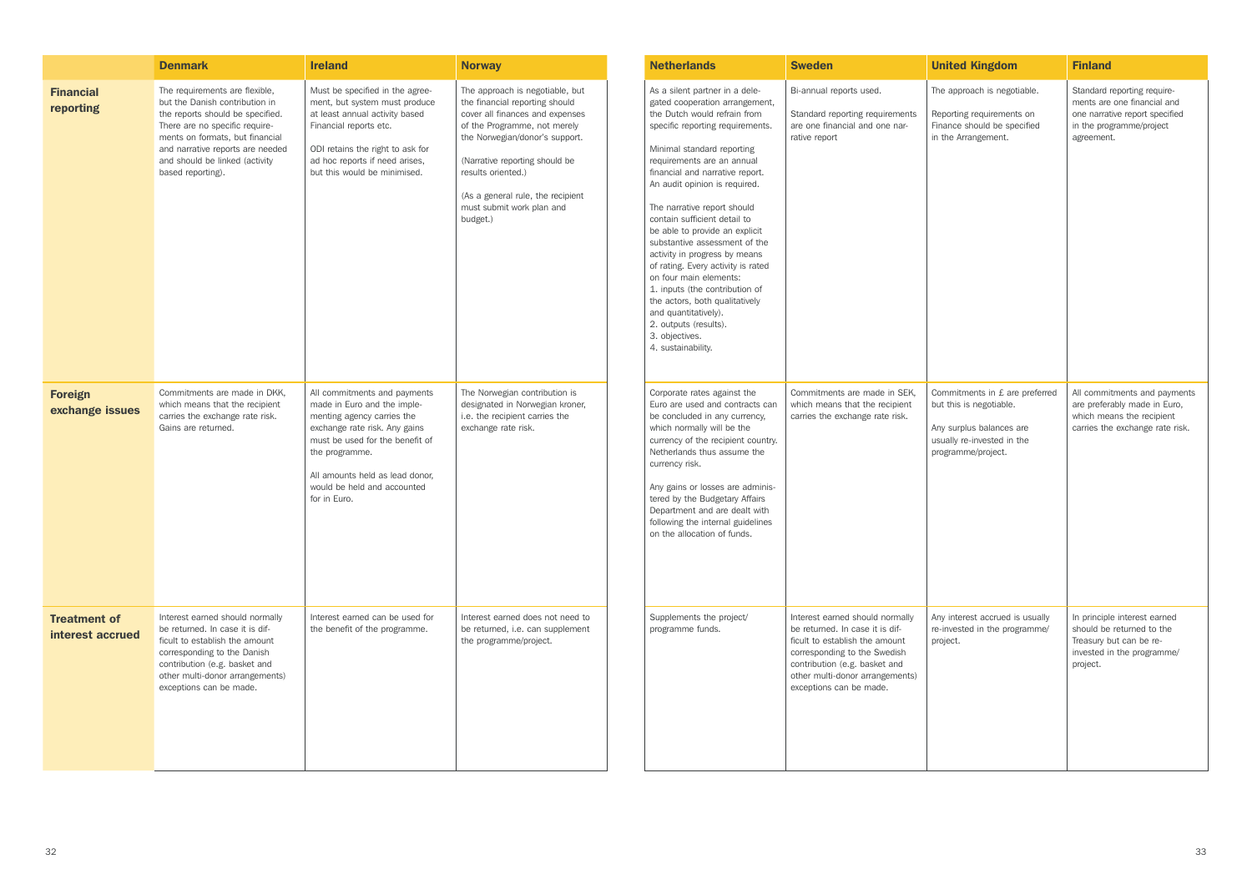|                                         | <b>Denmark</b>                                                                                                                                                                                                                                                       | <b>Ireland</b>                                                                                                                                                                                                                                                    | <b>Norway</b>                                                                                                                                                                                                                                                                                                | <b>Netherlands</b>                                                                                                                                                                                                                                                                                                                                                                                                                                                                                                                                                                                                                                                   | <b>Sweden</b>                                                                                                                                                                                                                       | <b>United Kingdom</b>                                                                                                                     | <b>Finland</b>                                                                                                                         |
|-----------------------------------------|----------------------------------------------------------------------------------------------------------------------------------------------------------------------------------------------------------------------------------------------------------------------|-------------------------------------------------------------------------------------------------------------------------------------------------------------------------------------------------------------------------------------------------------------------|--------------------------------------------------------------------------------------------------------------------------------------------------------------------------------------------------------------------------------------------------------------------------------------------------------------|----------------------------------------------------------------------------------------------------------------------------------------------------------------------------------------------------------------------------------------------------------------------------------------------------------------------------------------------------------------------------------------------------------------------------------------------------------------------------------------------------------------------------------------------------------------------------------------------------------------------------------------------------------------------|-------------------------------------------------------------------------------------------------------------------------------------------------------------------------------------------------------------------------------------|-------------------------------------------------------------------------------------------------------------------------------------------|----------------------------------------------------------------------------------------------------------------------------------------|
| <b>Financial</b><br>reporting           | The requirements are flexible,<br>but the Danish contribution in<br>the reports should be specified.<br>There are no specific require-<br>ments on formats, but financial<br>and narrative reports are needed<br>and should be linked (activity<br>based reporting). | Must be specified in the agree-<br>ment, but system must produce<br>at least annual activity based<br>Financial reports etc.<br>ODI retains the right to ask for<br>ad hoc reports if need arises,<br>but this would be minimised.                                | The approach is negotiable, but<br>the financial reporting should<br>cover all finances and expenses<br>of the Programme, not merely<br>the Norwegian/donor's support.<br>(Narrative reporting should be<br>results oriented.)<br>(As a general rule, the recipient<br>must submit work plan and<br>budget.) | As a silent partner in a dele-<br>gated cooperation arrangement,<br>the Dutch would refrain from<br>specific reporting requirements.<br>Minimal standard reporting<br>requirements are an annual<br>financial and narrative report.<br>An audit opinion is required.<br>The narrative report should<br>contain sufficient detail to<br>be able to provide an explicit<br>substantive assessment of the<br>activity in progress by means<br>of rating. Every activity is rated<br>on four main elements:<br>1. inputs (the contribution of<br>the actors, both qualitatively<br>and quantitatively).<br>2. outputs (results).<br>3. objectives.<br>4. sustainability. | Bi-annual reports used.<br>Standard reporting requirements<br>are one financial and one nar-<br>rative report                                                                                                                       | The approach is negotiable.<br>Reporting requirements on<br>Finance should be specified<br>in the Arrangement.                            | Standard reporting require-<br>ments are one financial and<br>one narrative report specified<br>in the programme/project<br>agreement. |
| <b>Foreign</b><br>exchange issues       | Commitments are made in DKK,<br>which means that the recipient<br>carries the exchange rate risk.<br>Gains are returned.                                                                                                                                             | All commitments and payments<br>made in Euro and the imple-<br>menting agency carries the<br>exchange rate risk. Any gains<br>must be used for the benefit of<br>the programme.<br>All amounts held as lead donor.<br>would be held and accounted<br>for in Euro. | The Norwegian contribution is<br>designated in Norwegian kroner,<br>i.e. the recipient carries the<br>exchange rate risk.                                                                                                                                                                                    | Corporate rates against the<br>Euro are used and contracts can<br>be concluded in any currency,<br>which normally will be the<br>currency of the recipient country.<br>Netherlands thus assume the<br>currency risk.<br>Any gains or losses are adminis-<br>tered by the Budgetary Affairs<br>Department and are dealt with<br>following the internal guidelines<br>on the allocation of funds.                                                                                                                                                                                                                                                                      | Commitments are made in SEK,<br>which means that the recipient<br>carries the exchange rate risk.                                                                                                                                   | Commitments in £ are preferred<br>but this is negotiable.<br>Any surplus balances are<br>usually re-invested in the<br>programme/project. | All commitments and payments<br>are preferably made in Euro,<br>which means the recipient<br>carries the exchange rate risk.           |
| <b>Treatment of</b><br>interest accrued | Interest earned should normally<br>be returned. In case it is dif-<br>ficult to establish the amount<br>corresponding to the Danish<br>contribution (e.g. basket and<br>other multi-donor arrangements)<br>exceptions can be made.                                   | Interest earned can be used for<br>the benefit of the programme.                                                                                                                                                                                                  | Interest earned does not need to<br>be returned, i.e. can supplement<br>the programme/project.                                                                                                                                                                                                               | Supplements the project/<br>programme funds.                                                                                                                                                                                                                                                                                                                                                                                                                                                                                                                                                                                                                         | Interest earned should normally<br>be returned. In case it is dif-<br>ficult to establish the amount<br>corresponding to the Swedish<br>contribution (e.g. basket and<br>other multi-donor arrangements)<br>exceptions can be made. | Any interest accrued is usually<br>re-invested in the programme/<br>project.                                                              | In principle interest earned<br>should be returned to the<br>Treasury but can be re-<br>invested in the programme/<br>project.         |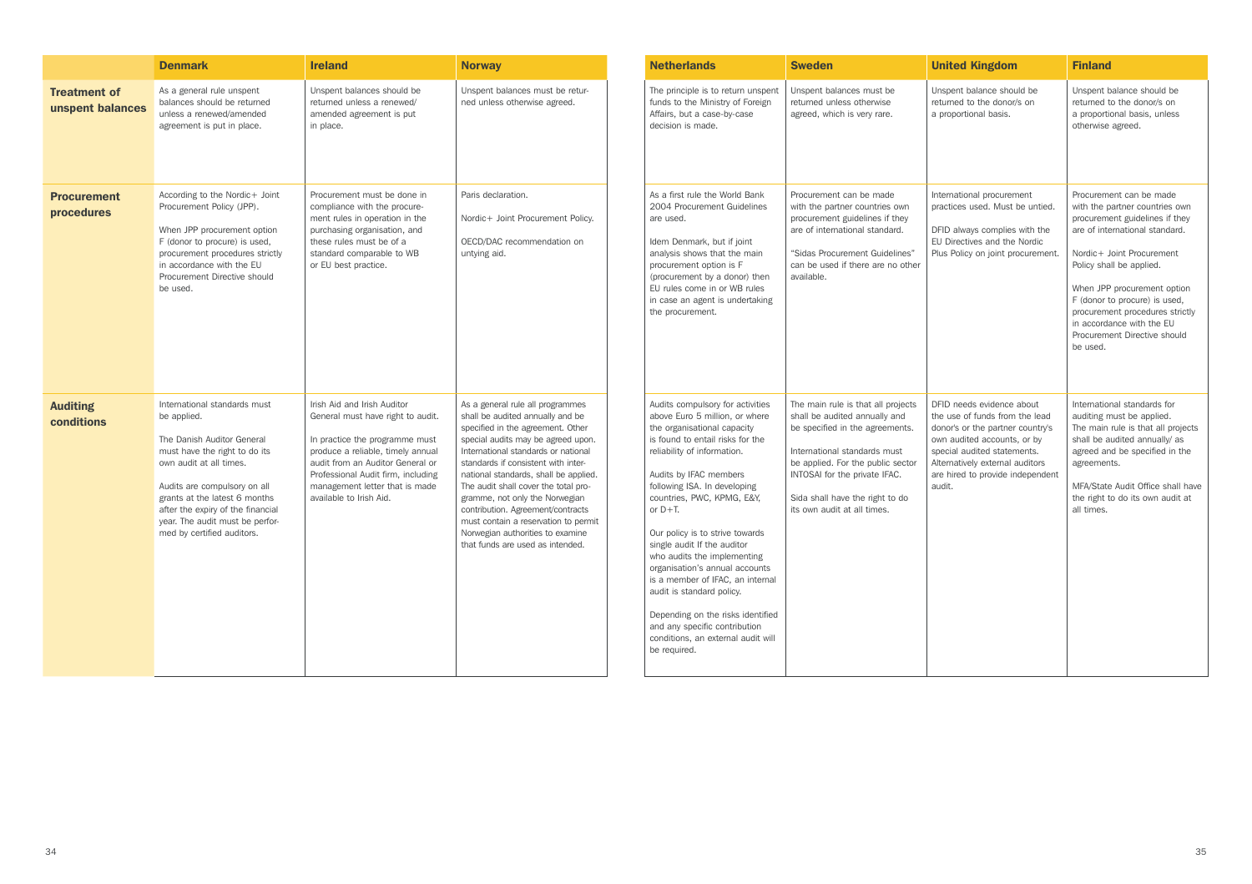|                                         | <b>Denmark</b>                                                                                                                                                                                                                                                                                               | <b>Ireland</b>                                                                                                                                                                                                                                                                 | <b>Norway</b>                                                                                                                                                                                                                                                                                                                                                                                                                                                                                         | <b>Netherlands</b>                                                                                                                                                                                                                                                                                                                                                                                                                                                                                                                                                                                         | <b>Sweden</b>                                                                                                                                                                                                                                                                  | <b>United Kingdom</b>                                                                                                                                                                                                                          | <b>Finland</b>                                                                                                                                                                                                                                                                                                                                                     |
|-----------------------------------------|--------------------------------------------------------------------------------------------------------------------------------------------------------------------------------------------------------------------------------------------------------------------------------------------------------------|--------------------------------------------------------------------------------------------------------------------------------------------------------------------------------------------------------------------------------------------------------------------------------|-------------------------------------------------------------------------------------------------------------------------------------------------------------------------------------------------------------------------------------------------------------------------------------------------------------------------------------------------------------------------------------------------------------------------------------------------------------------------------------------------------|------------------------------------------------------------------------------------------------------------------------------------------------------------------------------------------------------------------------------------------------------------------------------------------------------------------------------------------------------------------------------------------------------------------------------------------------------------------------------------------------------------------------------------------------------------------------------------------------------------|--------------------------------------------------------------------------------------------------------------------------------------------------------------------------------------------------------------------------------------------------------------------------------|------------------------------------------------------------------------------------------------------------------------------------------------------------------------------------------------------------------------------------------------|--------------------------------------------------------------------------------------------------------------------------------------------------------------------------------------------------------------------------------------------------------------------------------------------------------------------------------------------------------------------|
| <b>Treatment of</b><br>unspent balances | As a general rule unspent<br>balances should be returned<br>unless a renewed/amended<br>agreement is put in place.                                                                                                                                                                                           | Unspent balances should be<br>returned unless a renewed/<br>amended agreement is put<br>in place.                                                                                                                                                                              | Unspent balances must be retur-<br>ned unless otherwise agreed.                                                                                                                                                                                                                                                                                                                                                                                                                                       | The principle is to return unspent<br>funds to the Ministry of Foreign<br>Affairs, but a case-by-case<br>decision is made.                                                                                                                                                                                                                                                                                                                                                                                                                                                                                 | Unspent balances must be<br>returned unless otherwise<br>agreed, which is very rare.                                                                                                                                                                                           | Unspent balance should be<br>returned to the donor/s on<br>a proportional basis.                                                                                                                                                               | Unspent balance should be<br>returned to the donor/s on<br>a proportional basis, unless<br>otherwise agreed.                                                                                                                                                                                                                                                       |
| <b>Procurement</b><br>procedures        | According to the Nordic+ Joint<br>Procurement Policy (JPP).<br>When JPP procurement option<br>F (donor to procure) is used,<br>procurement procedures strictly<br>in accordance with the EU<br>Procurement Directive should<br>be used.                                                                      | Procurement must be done in<br>compliance with the procure-<br>ment rules in operation in the<br>purchasing organisation, and<br>these rules must be of a<br>standard comparable to WB<br>or EU best practice.                                                                 | Paris declaration.<br>Nordic+ Joint Procurement Policy.<br>OECD/DAC recommendation on<br>untying aid.                                                                                                                                                                                                                                                                                                                                                                                                 | As a first rule the World Bank<br>2004 Procurement Guidelines<br>are used.<br>Idem Denmark, but if joint<br>analysis shows that the main<br>procurement option is F<br>(procurement by a donor) then<br>EU rules come in or WB rules<br>in case an agent is undertaking<br>the procurement.                                                                                                                                                                                                                                                                                                                | Procurement can be made<br>with the partner countries own<br>procurement guidelines if they<br>are of international standard.<br>"Sidas Procurement Guidelines"<br>can be used if there are no other<br>available.                                                             | International procurement<br>practices used. Must be untied.<br>DFID always complies with the<br>EU Directives and the Nordic<br>Plus Policy on joint procurement.                                                                             | Procurement can be made<br>with the partner countries own<br>procurement guidelines if they<br>are of international standard.<br>Nordic+ Joint Procurement<br>Policy shall be applied.<br>When JPP procurement option<br>F (donor to procure) is used,<br>procurement procedures strictly<br>in accordance with the EU<br>Procurement Directive should<br>be used. |
| <b>Auditing</b><br>conditions           | International standards must<br>be applied.<br>The Danish Auditor General<br>must have the right to do its<br>own audit at all times.<br>Audits are compulsory on all<br>grants at the latest 6 months<br>after the expiry of the financial<br>year. The audit must be perfor-<br>med by certified auditors. | Irish Aid and Irish Auditor<br>General must have right to audit.<br>In practice the programme must<br>produce a reliable, timely annual<br>audit from an Auditor General or<br>Professional Audit firm, including<br>management letter that is made<br>available to Irish Aid. | As a general rule all programmes<br>shall be audited annually and be<br>specified in the agreement. Other<br>special audits may be agreed upon.<br>International standards or national<br>standards if consistent with inter-<br>national standards, shall be applied.<br>The audit shall cover the total pro-<br>gramme, not only the Norwegian<br>contribution. Agreement/contracts<br>must contain a reservation to permit<br>Norwegian authorities to examine<br>that funds are used as intended. | Audits compulsory for activities<br>above Euro 5 million, or where<br>the organisational capacity<br>is found to entail risks for the<br>reliability of information.<br>Audits by IFAC members<br>following ISA. In developing<br>countries, PWC, KPMG, E&Y,<br>or $D+T$ .<br>Our policy is to strive towards<br>single audit If the auditor<br>who audits the implementing<br>organisation's annual accounts<br>is a member of IFAC, an internal<br>audit is standard policy.<br>Depending on the risks identified<br>and any specific contribution<br>conditions, an external audit will<br>be required. | The main rule is that all projects<br>shall be audited annually and<br>be specified in the agreements.<br>International standards must<br>be applied. For the public sector<br>INTOSAI for the private IFAC.<br>Sida shall have the right to do<br>its own audit at all times. | DFID needs evidence about<br>the use of funds from the lead<br>donor's or the partner country's<br>own audited accounts, or by<br>special audited statements.<br>Alternatively external auditors<br>are hired to provide independent<br>audit. | International standards for<br>auditing must be applied.<br>The main rule is that all projects<br>shall be audited annually/ as<br>agreed and be specified in the<br>agreements.<br>MFA/State Audit Office shall have<br>the right to do its own audit at<br>all times.                                                                                            |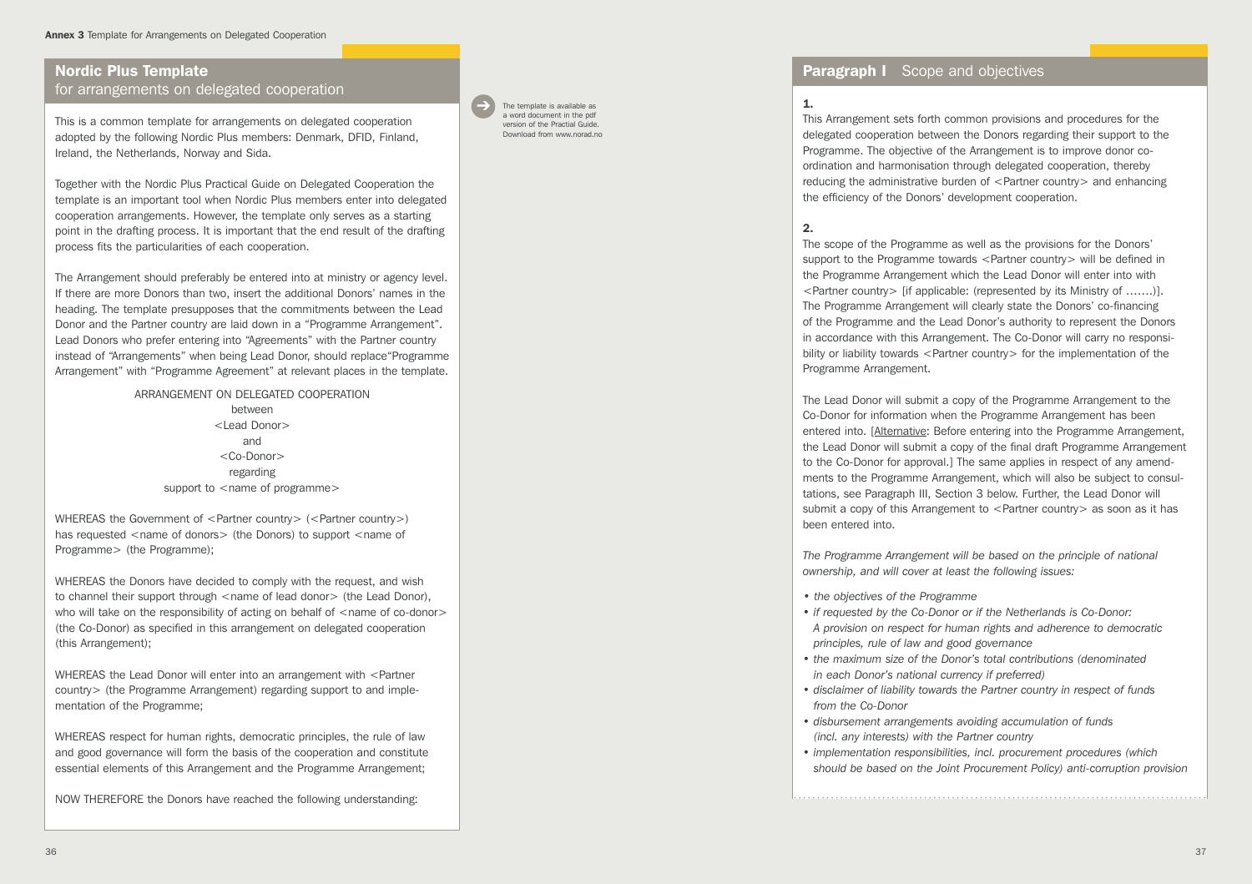# Nordic Plus Template

for arrangements on delegated cooperation

This is a common template for arrangements on delegated cooperation adopted by the following Nordic Plus members: Denmark, DFID, Finland, Ireland, the Netherlands, Norway and Sida.

Together with the Nordic Plus Practical Guide on Delegated Cooperation the template is an important tool when Nordic Plus members enter into delegated cooperation arrangements. However, the template only serves as a starting point in the drafting process. It is important that the end result of the drafting process fits the particularities of each cooperation.

The Arrangement should preferably be entered into at ministry or agency level. If there are more Donors than two, insert the additional Donors' names in the heading. The template presupposes that the commitments between the Lead Donor and the Partner country are laid down in a "Programme Arrangement". Lead Donors who prefer entering into "Agreements" with the Partner country instead of "Arrangements" when being Lead Donor, should replace"Programme Arrangement" with "Programme Agreement" at relevant places in the template.

> ARRANGEMENT ON DELEGATED COOPERATION between <Lead Donor> and <Co-Donor> regarding support to  $\leq$  name of programme $>$

WHEREAS the Government of <Partner country> (<Partner country>) has requested <name of donors> (the Donors) to support <name of Programme> (the Programme);

WHEREAS the Donors have decided to comply with the request, and wish to channel their support through <name of lead donor> (the Lead Donor), who will take on the responsibility of acting on behalf of  $\le$  name of co-donor $\ge$ (the Co-Donor) as specified in this arrangement on delegated cooperation (this Arrangement);

WHEREAS the Lead Donor will enter into an arrangement with <Partner country> (the Programme Arrangement) regarding support to and implementation of the Programme;

WHEREAS respect for human rights, democratic principles, the rule of law and good governance will form the basis of the cooperation and constitute essential elements of this Arrangement and the Programme Arrangement;

NOW THEREFORE the Donors have reached the following understanding:

The template is available as a word document in the pdf version of the Practial Guide. Download from www.norad.no

➔

# **Paragraph I** Scope and objectives

# 1.

This Arrangement sets forth common provisions and procedures for the delegated cooperation between the Donors regarding their support to the Programme. The objective of the Arrangement is to improve donor coordination and harmonisation through delegated cooperation, thereby reducing the administrative burden of <Partner country> and enhancing the efficiency of the Donors' development cooperation.

## 2.

The scope of the Programme as well as the provisions for the Donors' support to the Programme towards <Partner country> will be defined in the Programme Arrangement which the Lead Donor will enter into with <Partner country> [if applicable: (represented by its Ministry of …….)]. The Programme Arrangement will clearly state the Donors' co-financing of the Programme and the Lead Donor's authority to represent the Donors in accordance with this Arrangement. The Co-Donor will carry no responsibility or liability towards <Partner country > for the implementation of the Programme Arrangement.

The Lead Donor will submit a copy of the Programme Arrangement to the Co-Donor for information when the Programme Arrangement has been entered into. [Alternative: Before entering into the Programme Arrangement, the Lead Donor will submit a copy of the final draft Programme Arrangement to the Co-Donor for approval.] The same applies in respect of any amendments to the Programme Arrangement, which will also be subject to consultations, see Paragraph III, Section 3 below. Further, the Lead Donor will submit a copy of this Arrangement to <Partner country as soon as it has been entered into.

*The Programme Arrangement will be based on the principle of national ownership, and will cover at least the following issues:* 

- *the objectives of the Programme*
- *if requested by the Co-Donor or if the Netherlands is Co-Donor: A provision on respect for human rights and adherence to democratic principles, rule of law and good governance*
- *the maximum size of the Donor's total contributions (denominated in each Donor's national currency if preferred)*
- *disclaimer of liability towards the Partner country in respect of funds from the Co-Donor*
- *disbursement arrangements avoiding accumulation of funds (incl. any interests) with the Partner country*
- *implementation responsibilities, incl. procurement procedures (which should be based on the Joint Procurement Policy) anti-corruption provision*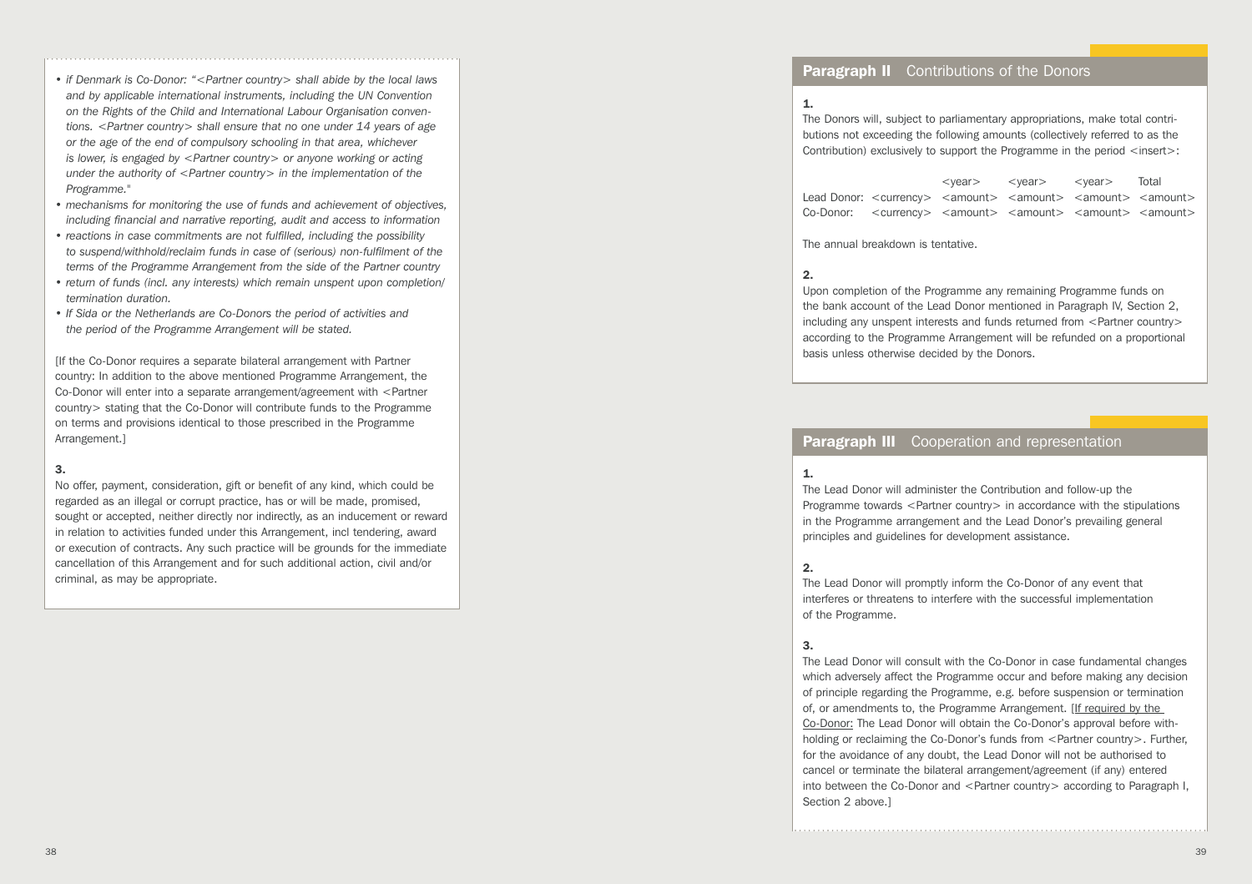- *and by applicable international instruments, including the UN Convention on the Rights of the Child and International Labour Organisation conven tions. <Partner country> shall ensure that no one under 14 years of age or the age of the end of compulsory schooling in that area, whichever is lower, is engaged by <Partner country> or anyone working or acting under the authority of <Partner country> in the implementation of the Programme."*
- *mechanisms for monitoring the use of funds and achievement of objectives, including financial and narrative reporting, audit and access to information*
- *reactions in case commitments are not fulfilled, including the possibility to suspend/withhold/reclaim funds in case of (serious) non-fulfilment of the terms of the Programme Arrangement from the side of the Partner country*
- *return of funds (incl. any interests) which remain unspent upon completion/ termination duration.*
- *If Sida or the Netherlands are Co-Donors the period of activities and the period of the Programme Arrangement will be stated.*

[If the Co-Donor requires a separate bilateral arrangement with Partner country: In addition to the above mentioned Programme Arrangement, the Co-Donor will enter into a separate arrangement/agreement with <Partner country> stating that the Co-Donor will contribute funds to the Programme on terms and provisions identical to those prescribed in the Programme Arrangement.]

#### 3.

No offer, payment, consideration, gift or benefit of any kind, which could be regarded as an illegal or corrupt practice, has or will be made, promised, sought or accepted, neither directly nor indirectly, as an inducement or reward in relation to activities funded under this Arrangement, incl tendering, award or execution of contracts. Any such practice will be grounds for the immediate cancellation of this Arrangement and for such additional action, civil and/or criminal, as may be appropriate.

# **Paragraph II** Contributions of the Donors

#### 1.

The Donors will, subject to parliamentary appropriations, make total contri butions not exceeding the following amounts (collectively referred to as the Contribution) exclusively to support the Programme in the period <insert>:

<year> <year> <year> Total Lead Donor: <currency> <amount> <amount> <amount> <amount> Co-Donor: <currency> <amount> <amount> <amount> <amount>

The annual breakdown is tentative.

#### 2.

Upon completion of the Programme any remaining Programme funds on the bank account of the Lead Donor mentioned in Paragraph IV, Section 2, including any unspent interests and funds returned from <Partner country> according to the Programme Arrangement will be refunded on a proportional basis unless otherwise decided by the Donors.

## **Paragraph III** Cooperation and representation

#### 1.

The Lead Donor will administer the Contribution and follow-up the Programme towards <Partner country> in accordance with the stipulations in the Programme arrangement and the Lead Donor's prevailing general principles and guidelines for development assistance.

#### 2.

The Lead Donor will promptly inform the Co-Donor of any event that interferes or threatens to interfere with the successful implementation of the Programme.

#### 3.

38  $\frac{1}{2}$  **if**  $\frac{1}{2}$  **if**  $\frac{1}{2}$  **if**  $\frac{1}{2}$  **if**  $\frac{1}{2}$  **if**  $\frac{1}{2}$  **if**  $\frac{1}{2}$  **if**  $\frac{1}{2}$  **if**  $\frac{1}{2}$  **if**  $\frac{1}{2}$  **if**  $\frac{1}{2}$  **if**  $\frac{1}{2}$  **if**  $\frac{1}{2}$  **if**  $\frac{1}{2}$  **if**  $\frac{1}{2}$ The Lead Donor will consult with the Co-Donor in case fundamental changes which adversely affect the Programme occur and before making any decision of principle regarding the Programme, e.g. before suspension or termination of, or amendments to, the Programme Arrangement. [If required by the Co-Donor: The Lead Donor will obtain the Co-Donor's approval before withholding or reclaiming the Co-Donor's funds from <Partner country>. Further, for the avoidance of any doubt, the Lead Donor will not be authorised to cancel or terminate the bilateral arrangement/agreement (if any) entered into between the Co-Donor and <Partner country> according to Paragraph I, Section 2 above.1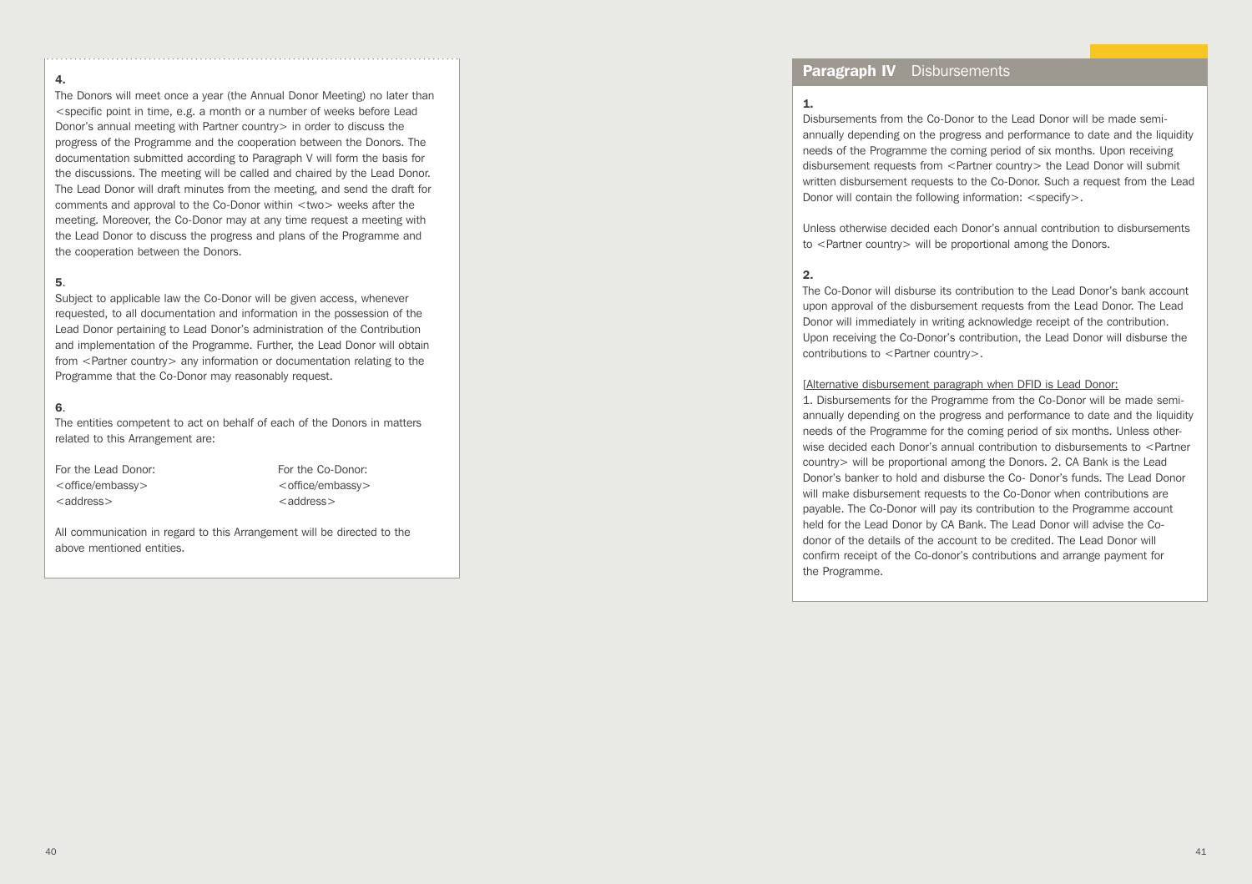#### 4.

The Donors will meet once a year (the Annual Donor Meeting) no later than <specific point in time, e.g. a month or a number of weeks before Lead Donor's annual meeting with Partner country > in order to discuss the progress of the Programme and the cooperation between the Donors. The documentation submitted according to Paragraph V will form the basis for the discussions. The meeting will be called and chaired by the Lead Donor. The Lead Donor will draft minutes from the meeting, and send the draft for comments and approval to the Co-Donor within <two> weeks after the meeting. Moreover, the Co-Donor may at any time request a meeting with the Lead Donor to discuss the progress and plans of the Programme and the cooperation between the Donors.

#### 5.

Subject to applicable law the Co-Donor will be given access, whenever requested, to all documentation and information in the possession of the Lead Donor pertaining to Lead Donor's administration of the Contribution and implementation of the Programme. Further, the Lead Donor will obtain from <Partner country> any information or documentation relating to the Programme that the Co-Donor may reasonably request.

#### 6.

The entities competent to act on behalf of each of the Donors in matters related to this Arrangement are:

| For the Lead Donor:          |  |  |  |  |  |  |  |  |
|------------------------------|--|--|--|--|--|--|--|--|
| <office embassy=""></office> |  |  |  |  |  |  |  |  |
| $<$ address $>$              |  |  |  |  |  |  |  |  |

For the Co-Donor: <office/embassy> <address>

All communication in regard to this Arrangement will be directed to the above mentioned entities.

## Paragraph IV Disbursements

#### 1.

Disbursements from the Co-Donor to the Lead Donor will be made semiannually depending on the progress and performance to date and the liquidity needs of the Programme the coming period of six months. Upon receiving disbursement requests from <Partner country> the Lead Donor will submit written disbursement requests to the Co-Donor. Such a request from the Lead Donor will contain the following information: <specify>.

Unless otherwise decided each Donor's annual contribution to disbursements to <Partner country> will be proportional among the Donors.

#### 2.

The Co-Donor will disburse its contribution to the Lead Donor's bank account upon approval of the disbursement requests from the Lead Donor. The Lead Donor will immediately in writing acknowledge receipt of the contribution. Upon receiving the Co-Donor's contribution, the Lead Donor will disburse the contributions to <Partner country>.

#### [Alternative disbursement paragraph when DFID is Lead Donor:

1. Disbursements for the Programme from the Co-Donor will be made semiannually depending on the progress and performance to date and the liquidity needs of the Programme for the coming period of six months. Unless otherwise decided each Donor's annual contribution to disbursements to <Partner country> will be proportional among the Donors. 2. CA Bank is the Lead Donor's banker to hold and disburse the Co- Donor's funds. The Lead Donor will make disbursement requests to the Co-Donor when contributions are payable. The Co-Donor will pay its contribution to the Programme account held for the Lead Donor by CA Bank. The Lead Donor will advise the Codonor of the details of the account to be credited. The Lead Donor will confirm receipt of the Co-donor's contributions and arrange payment for the Programme.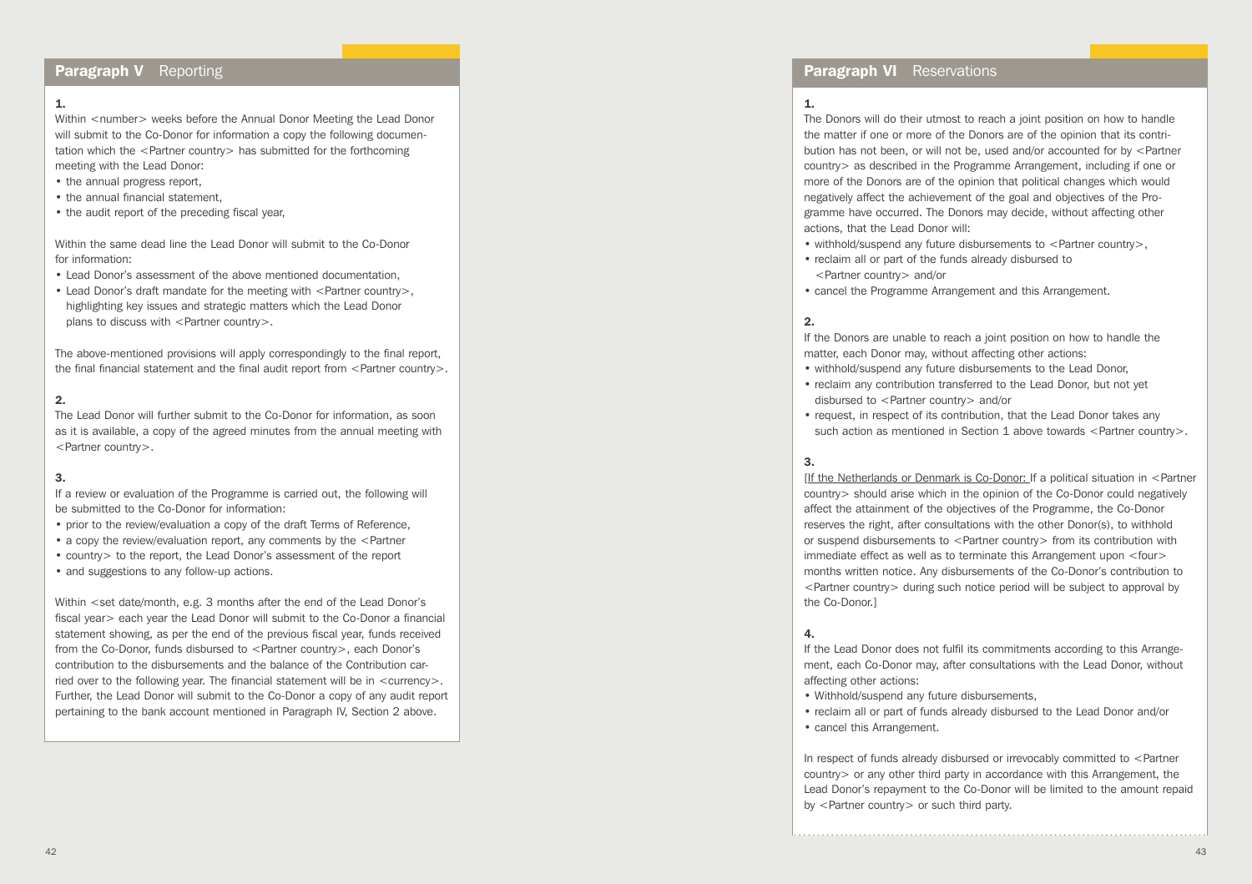# Paragraph V Reporting

## 1.

Within <number> weeks before the Annual Donor Meeting the Lead Donor will submit to the Co-Donor for information a copy the following documentation which the <Partner country> has submitted for the forthcoming meeting with the Lead Donor:

- the annual progress report,
- the annual financial statement,
- the audit report of the preceding fiscal year,

Within the same dead line the Lead Donor will submit to the Co-Donor for information:

- Lead Donor's assessment of the above mentioned documentation,
- Lead Donor's draft mandate for the meeting with <Partner country>, highlighting key issues and strategic matters which the Lead Donor plans to discuss with  $\leq$  Partner country  $>$ .

The above-mentioned provisions will apply correspondingly to the final report, the final financial statement and the final audit report from  $\leq$  Partner country  $\geq$ .

## 2.

The Lead Donor will further submit to the Co-Donor for information, as soon as it is available, a copy of the agreed minutes from the annual meeting with <Partner country>.

### 3.

If a review or evaluation of the Programme is carried out, the following will be submitted to the Co-Donor for information:

- prior to the review/evaluation a copy of the draft Terms of Reference,
- a copy the review/evaluation report, any comments by the <Partner
- country> to the report, the Lead Donor's assessment of the report
- and suggestions to any follow-up actions.

Within <set date/month, e.g. 3 months after the end of the Lead Donor's fiscal year> each year the Lead Donor will submit to the Co-Donor a financial statement showing, as per the end of the previous fiscal year, funds received from the Co-Donor, funds disbursed to <Partner country>, each Donor's contribution to the disbursements and the balance of the Contribution carried over to the following year. The financial statement will be in  $\leq$  currency $\geq$ . Further, the Lead Donor will submit to the Co-Donor a copy of any audit report pertaining to the bank account mentioned in Paragraph IV, Section 2 above.

### **Paragraph VI** Reservations

#### 1.

The Donors will do their utmost to reach a joint position on how to handle the matter if one or more of the Donors are of the opinion that its contribution has not been, or will not be, used and/or accounted for by <Partner country> as described in the Programme Arrangement, including if one or more of the Donors are of the opinion that political changes which would negatively affect the achievement of the goal and objectives of the Programme have occurred. The Donors may decide, without affecting other actions, that the Lead Donor will:

- withhold/suspend any future disbursements to <Partner country>,
- reclaim all or part of the funds already disbursed to <Partner country> and/or
- cancel the Programme Arrangement and this Arrangement.

## 2.

If the Donors are unable to reach a joint position on how to handle the matter, each Donor may, without affecting other actions:

- withhold/suspend any future disbursements to the Lead Donor,
- reclaim any contribution transferred to the Lead Donor, but not yet disbursed to <Partner country> and/or
- request, in respect of its contribution, that the Lead Donor takes any such action as mentioned in Section 1 above towards <Partner country>.

#### 3.

[If the Netherlands or Denmark is Co-Donor: If a political situation in <Partner country> should arise which in the opinion of the Co-Donor could negatively affect the attainment of the objectives of the Programme, the Co-Donor reserves the right, after consultations with the other Donor(s), to withhold or suspend disbursements to <Partner country> from its contribution with immediate effect as well as to terminate this Arrangement upon <four> months written notice. Any disbursements of the Co-Donor's contribution to <Partner country> during such notice period will be subject to approval by the Co-Donor.]

# 4.

If the Lead Donor does not fulfil its commitments according to this Arrangement, each Co-Donor may, after consultations with the Lead Donor, without affecting other actions:

- Withhold/suspend any future disbursements,
- reclaim all or part of funds already disbursed to the Lead Donor and/or
- cancel this Arrangement.

In respect of funds already disbursed or irrevocably committed to <Partner country> or any other third party in accordance with this Arrangement, the Lead Donor's repayment to the Co-Donor will be limited to the amount repaid by <Partner country> or such third party.